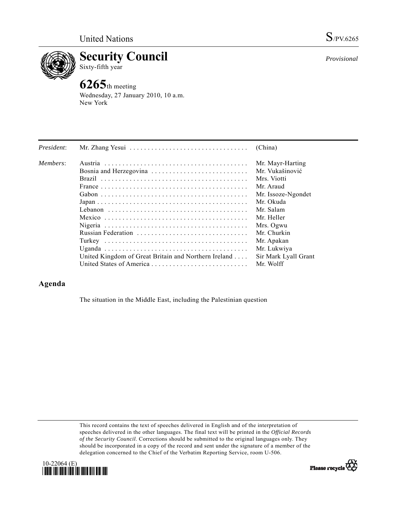

**Security Council**  Sixty-fifth year

## **6265**th meeting

Wednesday, 27 January 2010, 10 a.m. New York

| President: |                                                                                                         | (China)              |
|------------|---------------------------------------------------------------------------------------------------------|----------------------|
| Members:   |                                                                                                         | Mr. Mayr-Harting     |
|            |                                                                                                         | Mr. Vukašinović      |
|            |                                                                                                         | Mrs. Viotti          |
|            |                                                                                                         | Mr. Araud            |
|            |                                                                                                         | Mr. Issoze-Ngondet   |
|            | $Japan \dots \dots \dots \dots \dots \dots \dots \dots \dots \dots \dots \dots \dots \dots \dots \dots$ | Mr. Okuda            |
|            |                                                                                                         | Mr. Salam            |
|            |                                                                                                         | Mr. Heller           |
|            |                                                                                                         | Mrs. Ogwu            |
|            |                                                                                                         | Mr. Churkin          |
|            |                                                                                                         | Mr. Apakan           |
|            |                                                                                                         | Mr. Lukwiya          |
|            | United Kingdom of Great Britain and Northern Ireland                                                    | Sir Mark Lyall Grant |
|            |                                                                                                         | Mr. Wolff            |

## **Agenda**

The situation in the Middle East, including the Palestinian question

This record contains the text of speeches delivered in English and of the interpretation of speeches delivered in the other languages. The final text will be printed in the *Official Records of the Security Council*. Corrections should be submitted to the original languages only. They should be incorporated in a copy of the record and sent under the signature of a member of the delegation concerned to the Chief of the Verbatim Reporting Service, room U-506.







*Provisional*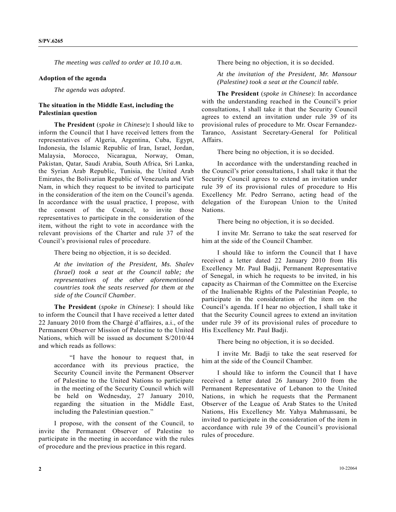*The meeting was called to order at 10.10 a.m.* 

## **Adoption of the agenda**

*The agenda was adopted*.

## **The situation in the Middle East, including the Palestinian question**

**The President** (*spoke in Chinese*)**:** I should like to inform the Council that I have received letters from the representatives of Algeria, Argentina, Cuba, Egypt, Indonesia, the Islamic Republic of Iran, Israel, Jordan, Malaysia, Morocco, Nicaragua, Norway, Oman, Pakistan, Qatar, Saudi Arabia, South Africa, Sri Lanka, the Syrian Arab Republic, Tunisia, the United Arab Emirates, the Bolivarian Republic of Venezuela and Viet Nam, in which they request to be invited to participate in the consideration of the item on the Council's agenda. In accordance with the usual practice, I propose, with the consent of the Council, to invite those representatives to participate in the consideration of the item, without the right to vote in accordance with the relevant provisions of the Charter and rule 37 of the Council's provisional rules of procedure.

There being no objection, it is so decided.

*At the invitation of the President, Ms. Shalev (Israel) took a seat at the Council table; the representatives of the other aforementioned countries took the seats reserved for them at the side of the Council Chamber*.

**The President** (*spoke in Chinese*): I should like to inform the Council that I have received a letter dated 22 January 2010 from the Chargé d'affaires, a.i., of the Permanent Observer Mission of Palestine to the United Nations, which will be issued as document S/2010/44 and which reads as follows:

 "I have the honour to request that, in accordance with its previous practice, the Security Council invite the Permanent Observer of Palestine to the United Nations to participate in the meeting of the Security Council which will be held on Wednesday, 27 January 2010, regarding the situation in the Middle East, including the Palestinian question."

 I propose, with the consent of the Council, to invite the Permanent Observer of Palestine to participate in the meeting in accordance with the rules of procedure and the previous practice in this regard.

There being no objection, it is so decided.

*At the invitation of the President, Mr. Mansour (Palestine) took a seat at the Council table.* 

**The President** (*spoke in Chinese*): In accordance with the understanding reached in the Council's prior consultations, I shall take it that the Security Council agrees to extend an invitation under rule 39 of its provisional rules of procedure to Mr. Oscar Fernandez-Taranco, Assistant Secretary-General for Political Affairs.

There being no objection, it is so decided.

 In accordance with the understanding reached in the Council's prior consultations, I shall take it that the Security Council agrees to extend an invitation under rule 39 of its provisional rules of procedure to His Excellency Mr. Pedro Serrano, acting head of the delegation of the European Union to the United Nations.

There being no objection, it is so decided.

 I invite Mr. Serrano to take the seat reserved for him at the side of the Council Chamber.

 I should like to inform the Council that I have received a letter dated 22 January 2010 from His Excellency Mr. Paul Badji, Permanent Representative of Senegal, in which he requests to be invited, in his capacity as Chairman of the Committee on the Exercise of the Inalienable Rights of the Palestinian People, to participate in the consideration of the item on the Council's agenda. If I hear no objection, I shall take it that the Security Council agrees to extend an invitation under rule 39 of its provisional rules of procedure to His Excellency Mr. Paul Badji.

There being no objection, it is so decided.

 I invite Mr. Badji to take the seat reserved for him at the side of the Council Chamber.

 I should like to inform the Council that I have received a letter dated 26 January 2010 from the Permanent Representative of Lebanon to the United Nations, in which he requests that the Permanent Observer of the League o£ Arab States to the United Nations, His Excellency Mr. Yahya Mahmassani, be invited to participate in the consideration of the item in accordance with rule 39 of the Council's provisional rules of procedure.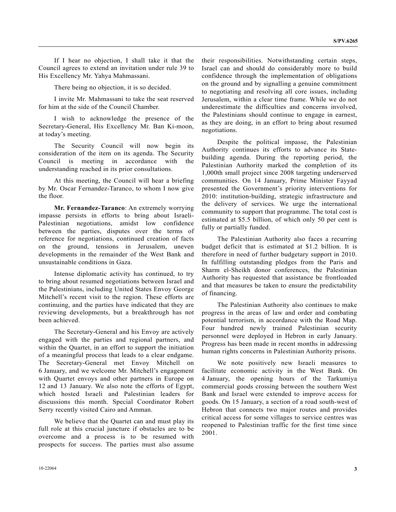If I hear no objection, I shall take it that the Council agrees to extend an invitation under rule 39 to His Excellency Mr. Yahya Mahmassani.

There being no objection, it is so decided.

 I invite Mr. Mahmassani to take the seat reserved for him at the side of the Council Chamber.

 I wish to acknowledge the presence of the Secretary-General, His Excellency Mr. Ban Ki-moon, at today's meeting.

 The Security Council will now begin its consideration of the item on its agenda. The Security Council is meeting in accordance with the understanding reached in its prior consultations.

 At this meeting, the Council will hear a briefing by Mr. Oscar Fernandez-Taranco, to whom I now give the floor.

**Mr. Fernandez-Taranco**: An extremely worrying impasse persists in efforts to bring about Israeli-Palestinian negotiations, amidst low confidence between the parties, disputes over the terms of reference for negotiations, continued creation of facts on the ground, tensions in Jerusalem, uneven developments in the remainder of the West Bank and unsustainable conditions in Gaza.

 Intense diplomatic activity has continued, to try to bring about resumed negotiations between Israel and the Palestinians, including United States Envoy George Mitchell's recent visit to the region. These efforts are continuing, and the parties have indicated that they are reviewing developments, but a breakthrough has not been achieved.

 The Secretary-General and his Envoy are actively engaged with the parties and regional partners, and within the Quartet, in an effort to support the initiation of a meaningful process that leads to a clear endgame. The Secretary-General met Envoy Mitchell on 6 January, and we welcome Mr. Mitchell's engagement with Quartet envoys and other partners in Europe on 12 and 13 January. We also note the efforts of Egypt, which hosted Israeli and Palestinian leaders for discussions this month. Special Coordinator Robert Serry recently visited Cairo and Amman.

 We believe that the Quartet can and must play its full role at this crucial juncture if obstacles are to be overcome and a process is to be resumed with prospects for success. The parties must also assume

their responsibilities. Notwithstanding certain steps, Israel can and should do considerably more to build confidence through the implementation of obligations on the ground and by signalling a genuine commitment to negotiating and resolving all core issues, including Jerusalem, within a clear time frame. While we do not underestimate the difficulties and concerns involved, the Palestinians should continue to engage in earnest, as they are doing, in an effort to bring about resumed negotiations.

 Despite the political impasse, the Palestinian Authority continues its efforts to advance its Statebuilding agenda. During the reporting period, the Palestinian Authority marked the completion of its 1,000th small project since 2008 targeting underserved communities. On 14 January, Prime Minister Fayyad presented the Government's priority interventions for 2010: institution-building, strategic infrastructure and the delivery of services. We urge the international community to support that programme. The total cost is estimated at \$5.5 billion, of which only 50 per cent is fully or partially funded.

 The Palestinian Authority also faces a recurring budget deficit that is estimated at \$1.2 billion. It is therefore in need of further budgetary support in 2010. In fulfilling outstanding pledges from the Paris and Sharm el-Sheikh donor conferences, the Palestinian Authority has requested that assistance be frontloaded and that measures be taken to ensure the predictability of financing.

 The Palestinian Authority also continues to make progress in the areas of law and order and combating potential terrorism, in accordance with the Road Map. Four hundred newly trained Palestinian security personnel were deployed in Hebron in early January. Progress has been made in recent months in addressing human rights concerns in Palestinian Authority prisons.

 We note positively new Israeli measures to facilitate economic activity in the West Bank. On 4 January, the opening hours of the Tarkumiya commercial goods crossing between the southern West Bank and Israel were extended to improve access for goods. On 15 January, a section of a road south-west of Hebron that connects two major routes and provides critical access for some villages to service centres was reopened to Palestinian traffic for the first time since 2001.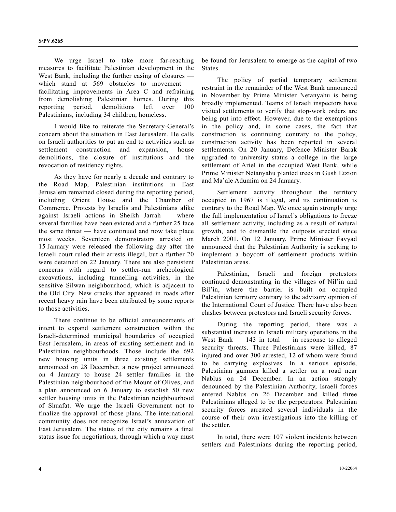We urge Israel to take more far-reaching measures to facilitate Palestinian development in the West Bank, including the further easing of closures which stand at 569 obstacles to movement facilitating improvements in Area C and refraining from demolishing Palestinian homes. During this reporting period, demolitions left over 100 Palestinians, including 34 children, homeless.

 I would like to reiterate the Secretary-General's concern about the situation in East Jerusalem. He calls on Israeli authorities to put an end to activities such as settlement construction and expansion, house demolitions, the closure of institutions and the revocation of residency rights.

 As they have for nearly a decade and contrary to the Road Map, Palestinian institutions in East Jerusalem remained closed during the reporting period, including Orient House and the Chamber of Commerce. Protests by Israelis and Palestinians alike against Israeli actions in Sheikh Jarrah — where several families have been evicted and a further 25 face the same threat — have continued and now take place most weeks. Seventeen demonstrators arrested on 15 January were released the following day after the Israeli court ruled their arrests illegal, but a further 20 were detained on 22 January. There are also persistent concerns with regard to settler-run archeological excavations, including tunnelling activities, in the sensitive Silwan neighbourhood, which is adjacent to the Old City. New cracks that appeared in roads after recent heavy rain have been attributed by some reports to those activities.

 There continue to be official announcements of intent to expand settlement construction within the Israeli-determined municipal boundaries of occupied East Jerusalem, in areas of existing settlement and in Palestinian neighbourhoods. Those include the 692 new housing units in three existing settlements announced on 28 December, a new project announced on 4 January to house 24 settler families in the Palestinian neighbourhood of the Mount of Olives, and a plan announced on 6 January to establish 50 new settler housing units in the Palestinian neighbourhood of Shuafat. We urge the Israeli Government not to finalize the approval of those plans. The international community does not recognize Israel's annexation of East Jerusalem. The status of the city remains a final status issue for negotiations, through which a way must be found for Jerusalem to emerge as the capital of two States.

 The policy of partial temporary settlement restraint in the remainder of the West Bank announced in November by Prime Minister Netanyahu is being broadly implemented. Teams of Israeli inspectors have visited settlements to verify that stop-work orders are being put into effect. However, due to the exemptions in the policy and, in some cases, the fact that construction is continuing contrary to the policy, construction activity has been reported in several settlements. On 20 January, Defence Minister Barak upgraded to university status a college in the large settlement of Ariel in the occupied West Bank, while Prime Minister Netanyahu planted trees in Gush Etzion and Ma'ale Adumim on 24 January.

 Settlement activity throughout the territory occupied in 1967 is illegal, and its continuation is contrary to the Road Map. We once again strongly urge the full implementation of Israel's obligations to freeze all settlement activity, including as a result of natural growth, and to dismantle the outposts erected since March 2001. On 12 January, Prime Minister Fayyad announced that the Palestinian Authority is seeking to implement a boycott of settlement products within Palestinian areas.

 Palestinian, Israeli and foreign protestors continued demonstrating in the villages of Nil'in and Bil'in, where the barrier is built on occupied Palestinian territory contrary to the advisory opinion of the International Court of Justice. There have also been clashes between protestors and Israeli security forces.

 During the reporting period, there was a substantial increase in Israeli military operations in the West Bank  $-$  143 in total  $-$  in response to alleged security threats. Three Palestinians were killed, 87 injured and over 300 arrested, 12 of whom were found to be carrying explosives. In a serious episode, Palestinian gunmen killed a settler on a road near Nablus on 24 December. In an action strongly denounced by the Palestinian Authority, Israeli forces entered Nablus on 26 December and killed three Palestinians alleged to be the perpetrators. Palestinian security forces arrested several individuals in the course of their own investigations into the killing of the settler.

 In total, there were 107 violent incidents between settlers and Palestinians during the reporting period,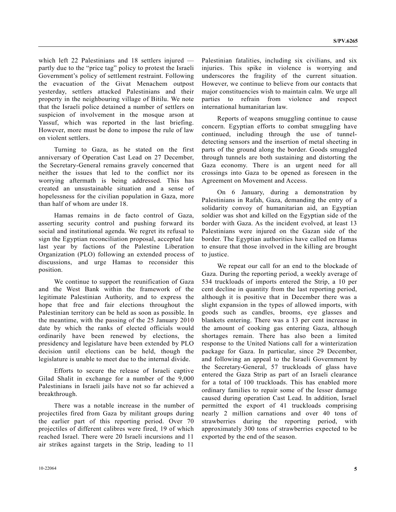which left 22 Palestinians and 18 settlers injured partly due to the "price tag" policy to protest the Israeli Government's policy of settlement restraint. Following the evacuation of the Givat Menachem outpost yesterday, settlers attacked Palestinians and their property in the neighbouring village of Bitilu. We note that the Israeli police detained a number of settlers on suspicion of involvement in the mosque arson at Yassuf, which was reported in the last briefing. However, more must be done to impose the rule of law on violent settlers.

 Turning to Gaza, as he stated on the first anniversary of Operation Cast Lead on 27 December, the Secretary-General remains gravely concerned that neither the issues that led to the conflict nor its worrying aftermath is being addressed. This has created an unsustainable situation and a sense of hopelessness for the civilian population in Gaza, more than half of whom are under 18.

 Hamas remains in de facto control of Gaza, asserting security control and pushing forward its social and institutional agenda. We regret its refusal to sign the Egyptian reconciliation proposal, accepted late last year by factions of the Palestine Liberation Organization (PLO) following an extended process of discussions, and urge Hamas to reconsider this position.

 We continue to support the reunification of Gaza and the West Bank within the framework of the legitimate Palestinian Authority, and to express the hope that free and fair elections throughout the Palestinian territory can be held as soon as possible. In the meantime, with the passing of the 25 January 2010 date by which the ranks of elected officials would ordinarily have been renewed by elections, the presidency and legislature have been extended by PLO decision until elections can be held, though the legislature is unable to meet due to the internal divide.

 Efforts to secure the release of Israeli captive Gilad Shalit in exchange for a number of the 9,000 Palestinians in Israeli jails have not so far achieved a breakthrough.

 There was a notable increase in the number of projectiles fired from Gaza by militant groups during the earlier part of this reporting period. Over 70 projectiles of different calibres were fired, 19 of which reached Israel. There were 20 Israeli incursions and 11 air strikes against targets in the Strip, leading to 11

Palestinian fatalities, including six civilians, and six injuries. This spike in violence is worrying and underscores the fragility of the current situation. However, we continue to believe from our contacts that major constituencies wish to maintain calm. We urge all parties to refrain from violence and respect international humanitarian law.

 Reports of weapons smuggling continue to cause concern. Egyptian efforts to combat smuggling have continued, including through the use of tunneldetecting sensors and the insertion of metal sheeting in parts of the ground along the border. Goods smuggled through tunnels are both sustaining and distorting the Gaza economy. There is an urgent need for all crossings into Gaza to be opened as foreseen in the Agreement on Movement and Access.

 On 6 January, during a demonstration by Palestinians in Rafah, Gaza, demanding the entry of a solidarity convoy of humanitarian aid, an Egyptian soldier was shot and killed on the Egyptian side of the border with Gaza. As the incident evolved, at least 13 Palestinians were injured on the Gazan side of the border. The Egyptian authorities have called on Hamas to ensure that those involved in the killing are brought to justice.

 We repeat our call for an end to the blockade of Gaza. During the reporting period, a weekly average of 534 truckloads of imports entered the Strip, a 10 per cent decline in quantity from the last reporting period, although it is positive that in December there was a slight expansion in the types of allowed imports, with goods such as candles, brooms, eye glasses and blankets entering. There was a 13 per cent increase in the amount of cooking gas entering Gaza, although shortages remain. There has also been a limited response to the United Nations call for a winterization package for Gaza. In particular, since 29 December, and following an appeal to the Israeli Government by the Secretary-General, 57 truckloads of glass have entered the Gaza Strip as part of an Israeli clearance for a total of 100 truckloads. This has enabled more ordinary families to repair some of the lesser damage caused during operation Cast Lead. In addition, Israel permitted the export of 41 truckloads comprising nearly 2 million carnations and over 40 tons of strawberries during the reporting period, with approximately 300 tons of strawberries expected to be exported by the end of the season.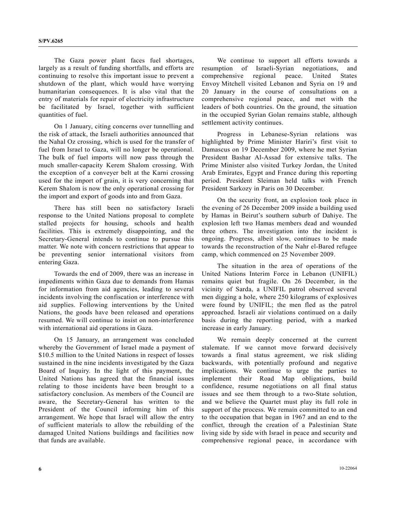The Gaza power plant faces fuel shortages, largely as a result of funding shortfalls, and efforts are continuing to resolve this important issue to prevent a shutdown of the plant, which would have worrying humanitarian consequences. It is also vital that the entry of materials for repair of electricity infrastructure be facilitated by Israel, together with sufficient quantities of fuel.

 On 1 January, citing concerns over tunnelling and the risk of attack, the Israeli authorities announced that the Nahal Oz crossing, which is used for the transfer of fuel from Israel to Gaza, will no longer be operational. The bulk of fuel imports will now pass through the much smaller-capacity Kerem Shalom crossing. With the exception of a conveyer belt at the Karni crossing used for the import of grain, it is very concerning that Kerem Shalom is now the only operational crossing for the import and export of goods into and from Gaza.

 There has still been no satisfactory Israeli response to the United Nations proposal to complete stalled projects for housing, schools and health facilities. This is extremely disappointing, and the Secretary-General intends to continue to pursue this matter. We note with concern restrictions that appear to be preventing senior international visitors from entering Gaza.

 Towards the end of 2009, there was an increase in impediments within Gaza due to demands from Hamas for information from aid agencies, leading to several incidents involving the confiscation or interference with aid supplies. Following interventions by the United Nations, the goods have been released and operations resumed. We will continue to insist on non-interference with international aid operations in Gaza.

 On 15 January, an arrangement was concluded whereby the Government of Israel made a payment of \$10.5 million to the United Nations in respect of losses sustained in the nine incidents investigated by the Gaza Board of Inquiry. In the light of this payment, the United Nations has agreed that the financial issues relating to those incidents have been brought to a satisfactory conclusion. As members of the Council are aware, the Secretary-General has written to the President of the Council informing him of this arrangement. We hope that Israel will allow the entry of sufficient materials to allow the rebuilding of the damaged United Nations buildings and facilities now that funds are available.

 We continue to support all efforts towards a resumption of Israeli-Syrian negotiations, and comprehensive regional peace. United States Envoy Mitchell visited Lebanon and Syria on 19 and 20 January in the course of consultations on a comprehensive regional peace, and met with the leaders of both countries. On the ground, the situation in the occupied Syrian Golan remains stable, although settlement activity continues.

 Progress in Lebanese-Syrian relations was highlighted by Prime Minister Hariri's first visit to Damascus on 19 December 2009, where he met Syrian President Bashar Al-Assad for extensive talks. The Prime Minister also visited Turkey Jordan, the United Arab Emirates, Egypt and France during this reporting period. President Sleiman held talks with French President Sarkozy in Paris on 30 December.

 On the security front, an explosion took place in the evening of 26 December 2009 inside a building used by Hamas in Beirut's southern suburb of Dahiye. The explosion left two Hamas members dead and wounded three others. The investigation into the incident is ongoing. Progress, albeit slow, continues to be made towards the reconstruction of the Nahr el-Bared refugee camp, which commenced on 25 November 2009.

 The situation in the area of operations of the United Nations Interim Force in Lebanon (UNIFIL) remains quiet but fragile. On 26 December, in the vicinity of Sarda, a UNIFIL patrol observed several men digging a hole, where 250 kilograms of explosives were found by UNIFIL; the men fled as the patrol approached. Israeli air violations continued on a daily basis during the reporting period, with a marked increase in early January.

 We remain deeply concerned at the current stalemate. If we cannot move forward decisively towards a final status agreement, we risk sliding backwards, with potentially profound and negative implications. We continue to urge the parties to implement their Road Map obligations, build confidence, resume negotiations on all final status issues and see them through to a two-State solution, and we believe the Quartet must play its full role in support of the process. We remain committed to an end to the occupation that began in 1967 and an end to the conflict, through the creation of a Palestinian State living side by side with Israel in peace and security and comprehensive regional peace, in accordance with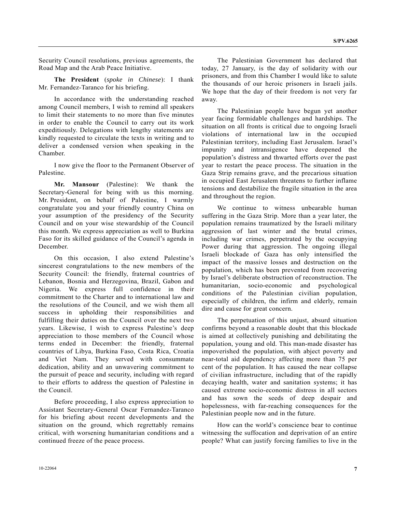Security Council resolutions, previous agreements, the Road Map and the Arab Peace Initiative.

**The President** (*spoke in Chinese*): I thank Mr. Fernandez-Taranco for his briefing.

 In accordance with the understanding reached among Council members, I wish to remind all speakers to limit their statements to no more than five minutes in order to enable the Council to carry out its work expeditiously. Delegations with lengthy statements are kindly requested to circulate the texts in writing and to deliver a condensed version when speaking in the Chamber.

 I now give the floor to the Permanent Observer of Palestine.

**Mr. Mansour** (Palestine): We thank the Secretary-General for being with us this morning. Mr. President, on behalf of Palestine, I warmly congratulate you and your friendly country China on your assumption of the presidency of the Security Council and on your wise stewardship of the Council this month. We express appreciation as well to Burkina Faso for its skilled guidance of the Council's agenda in December.

 On this occasion, I also extend Palestine's sincerest congratulations to the new members of the Security Council: the friendly, fraternal countries of Lebanon, Bosnia and Herzegovina, Brazil, Gabon and Nigeria. We express full confidence in their commitment to the Charter and to international law and the resolutions of the Council, and we wish them all success in upholding their responsibilities and fulfilling their duties on the Council over the next two years. Likewise, I wish to express Palestine's deep appreciation to those members of the Council whose terms ended in December: the friendly, fraternal countries of Libya, Burkina Faso, Costa Rica, Croatia and Viet Nam. They served with consummate dedication, ability and an unwavering commitment to the pursuit of peace and security, including with regard to their efforts to address the question of Palestine in the Council.

 Before proceeding, I also express appreciation to Assistant Secretary-General Oscar Fernandez-Taranco for his briefing about recent developments and the situation on the ground, which regrettably remains critical, with worsening humanitarian conditions and a continued freeze of the peace process.

 The Palestinian Government has declared that today, 27 January, is the day of solidarity with our prisoners, and from this Chamber I would like to salute the thousands of our heroic prisoners in Israeli jails. We hope that the day of their freedom is not very far away.

 The Palestinian people have begun yet another year facing formidable challenges and hardships. The situation on all fronts is critical due to ongoing Israeli violations of international law in the occupied Palestinian territory, including East Jerusalem. Israel's impunity and intransigence have deepened the population's distress and thwarted efforts over the past year to restart the peace process. The situation in the Gaza Strip remains grave, and the precarious situation in occupied East Jerusalem threatens to further inflame tensions and destabilize the fragile situation in the area and throughout the region.

 We continue to witness unbearable human suffering in the Gaza Strip. More than a year later, the population remains traumatized by the Israeli military aggression of last winter and the brutal crimes, including war crimes, perpetrated by the occupying Power during that aggression. The ongoing illegal Israeli blockade of Gaza has only intensified the impact of the massive losses and destruction on the population, which has been prevented from recovering by Israel's deliberate obstruction of reconstruction. The humanitarian, socio-economic and psychological conditions of the Palestinian civilian population, especially of children, the infirm and elderly, remain dire and cause for great concern.

 The perpetuation of this unjust, absurd situation confirms beyond a reasonable doubt that this blockade is aimed at collectively punishing and debilitating the population, young and old. This man-made disaster has impoverished the population, with abject poverty and near-total aid dependency affecting more than 75 per cent of the population. It has caused the near collapse of civilian infrastructure, including that of the rapidly decaying health, water and sanitation systems; it has caused extreme socio-economic distress in all sectors and has sown the seeds of deep despair and hopelessness, with far-reaching consequences for the Palestinian people now and in the future.

 How can the world's conscience bear to continue witnessing the suffocation and deprivation of an entire people? What can justify forcing families to live in the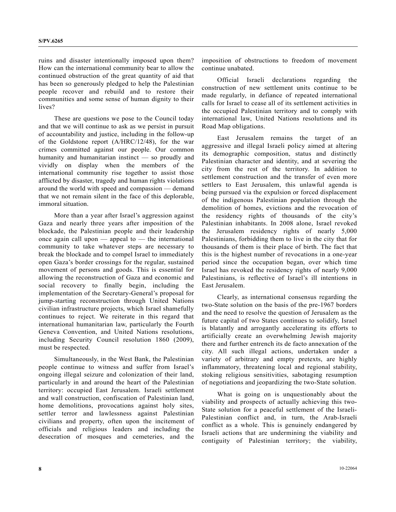ruins and disaster intentionally imposed upon them? How can the international community bear to allow the continued obstruction of the great quantity of aid that has been so generously pledged to help the Palestinian people recover and rebuild and to restore their communities and some sense of human dignity to their lives?

 These are questions we pose to the Council today and that we will continue to ask as we persist in pursuit of accountability and justice, including in the follow-up of the Goldstone report (A/HRC/12/48), for the war crimes committed against our people. Our common humanity and humanitarian instinct — so proudly and vividly on display when the members of the international community rise together to assist those afflicted by disaster, tragedy and human rights violations around the world with speed and compassion — demand that we not remain silent in the face of this deplorable, immoral situation.

 More than a year after Israel's aggression against Gaza and nearly three years after imposition of the blockade, the Palestinian people and their leadership once again call upon — appeal to — the international community to take whatever steps are necessary to break the blockade and to compel Israel to immediately open Gaza's border crossings for the regular, sustained movement of persons and goods. This is essential for allowing the reconstruction of Gaza and economic and social recovery to finally begin, including the implementation of the Secretary-General's proposal for jump-starting reconstruction through United Nations civilian infrastructure projects, which Israel shamefully continues to reject. We reiterate in this regard that international humanitarian law, particularly the Fourth Geneva Convention, and United Nations resolutions, including Security Council resolution 1860 (2009), must be respected.

 Simultaneously, in the West Bank, the Palestinian people continue to witness and suffer from Israel's ongoing illegal seizure and colonization of their land, particularly in and around the heart of the Palestinian territory: occupied East Jerusalem. Israeli settlement and wall construction, confiscation of Palestinian land, home demolitions, provocations against holy sites, settler terror and lawlessness against Palestinian civilians and property, often upon the incitement of officials and religious leaders and including the desecration of mosques and cemeteries, and the

imposition of obstructions to freedom of movement continue unabated.

 Official Israeli declarations regarding the construction of new settlement units continue to be made regularly, in defiance of repeated international calls for Israel to cease all of its settlement activities in the occupied Palestinian territory and to comply with international law, United Nations resolutions and its Road Map obligations.

 East Jerusalem remains the target of an aggressive and illegal Israeli policy aimed at altering its demographic composition, status and distinctly Palestinian character and identity, and at severing the city from the rest of the territory. In addition to settlement construction and the transfer of even more settlers to East Jerusalem, this unlawful agenda is being pursued via the expulsion or forced displacement of the indigenous Palestinian population through the demolition of homes, evictions and the revocation of the residency rights of thousands of the city's Palestinian inhabitants. In 2008 alone, Israel revoked the Jerusalem residency rights of nearly 5,000 Palestinians, forbidding them to live in the city that for thousands of them is their place of birth. The fact that this is the highest number of revocations in a one-year period since the occupation began, over which time Israel has revoked the residency rights of nearly 9,000 Palestinians, is reflective of Israel's ill intentions in East Jerusalem.

 Clearly, as international consensus regarding the two-State solution on the basis of the pre-1967 borders and the need to resolve the question of Jerusalem as the future capital of two States continues to solidify, Israel is blatantly and arrogantly accelerating its efforts to artificially create an overwhelming Jewish majority there and further entrench its de facto annexation of the city. All such illegal actions, undertaken under a variety of arbitrary and empty pretexts, are highly inflammatory, threatening local and regional stability, stoking religious sensitivities, sabotaging resumption of negotiations and jeopardizing the two-State solution.

 What is going on is unquestionably about the viability and prospects of actually achieving this two-State solution for a peaceful settlement of the Israeli-Palestinian conflict and, in turn, the Arab-Israeli conflict as a whole. This is genuinely endangered by Israeli actions that are undermining the viability and contiguity of Palestinian territory; the viability,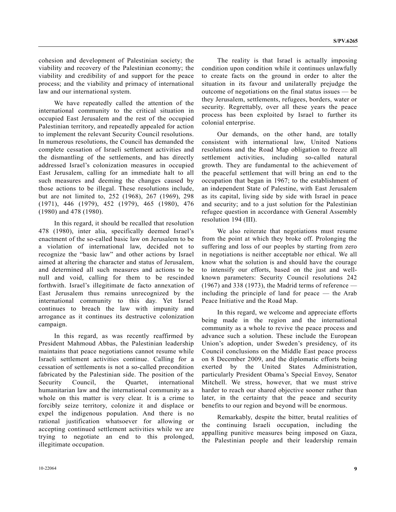cohesion and development of Palestinian society; the viability and recovery of the Palestinian economy; the viability and credibility of and support for the peace process; and the viability and primacy of international law and our international system.

 We have repeatedly called the attention of the international community to the critical situation in occupied East Jerusalem and the rest of the occupied Palestinian territory, and repeatedly appealed for action to implement the relevant Security Council resolutions. In numerous resolutions, the Council has demanded the complete cessation of Israeli settlement activities and the dismantling of the settlements, and has directly addressed Israel's colonization measures in occupied East Jerusalem, calling for an immediate halt to all such measures and deeming the changes caused by those actions to be illegal. These resolutions include, but are not limited to, 252 (1968), 267 (1969), 298 (1971), 446 (1979), 452 (1979), 465 (1980), 476 (1980) and 478 (1980).

 In this regard, it should be recalled that resolution 478 (1980), inter alia, specifically deemed Israel's enactment of the so-called basic law on Jerusalem to be a violation of international law, decided not to recognize the "basic law" and other actions by Israel aimed at altering the character and status of Jerusalem, and determined all such measures and actions to be null and void, calling for them to be rescinded forthwith. Israel's illegitimate de facto annexation of East Jerusalem thus remains unrecognized by the international community to this day. Yet Israel continues to breach the law with impunity and arrogance as it continues its destructive colonization campaign.

 In this regard, as was recently reaffirmed by President Mahmoud Abbas, the Palestinian leadership maintains that peace negotiations cannot resume while Israeli settlement activities continue. Calling for a cessation of settlements is not a so-called precondition fabricated by the Palestinian side. The position of the Security Council, the Quartet, international humanitarian law and the international community as a whole on this matter is very clear. It is a crime to forcibly seize territory, colonize it and displace or expel the indigenous population. And there is no rational justification whatsoever for allowing accepting continued settlement activities while we are trying to negotiate an end to this prolonged, illegitimate occupation.

 The reality is that Israel is actually imposing condition upon condition while it continues unlawfully to create facts on the ground in order to alter the situation in its favour and unilaterally prejudge the outcome of negotiations on the final status issues — be they Jerusalem, settlements, refugees, borders, water or security. Regrettably, over all these years the peace process has been exploited by Israel to further its colonial enterprise.

 Our demands, on the other hand, are totally consistent with international law, United Nations resolutions and the Road Map obligation to freeze all settlement activities, including so-called natural growth. They are fundamental to the achievement of the peaceful settlement that will bring an end to the occupation that began in 1967; to the establishment of an independent State of Palestine, with East Jerusalem as its capital, living side by side with Israel in peace and security; and to a just solution for the Palestinian refugee question in accordance with General Assembly resolution 194 (III).

 We also reiterate that negotiations must resume from the point at which they broke off. Prolonging the suffering and loss of our peoples by starting from zero in negotiations is neither acceptable nor ethical. We all know what the solution is and should have the courage to intensify our efforts, based on the just and wellknown parameters: Security Council resolutions 242 (1967) and 338 (1973), the Madrid terms of reference including the principle of land for peace — the Arab Peace Initiative and the Road Map.

 In this regard, we welcome and appreciate efforts being made in the region and the international community as a whole to revive the peace process and advance such a solution. These include the European Union's adoption, under Sweden's presidency, of its Council conclusions on the Middle East peace process on 8 December 2009, and the diplomatic efforts being exerted by the United States Administration, particularly President Obama's Special Envoy, Senator Mitchell. We stress, however, that we must strive harder to reach our shared objective sooner rather than later, in the certainty that the peace and security benefits to our region and beyond will be enormous.

 Remarkably, despite the bitter, brutal realities of the continuing Israeli occupation, including the appalling punitive measures being imposed on Gaza, the Palestinian people and their leadership remain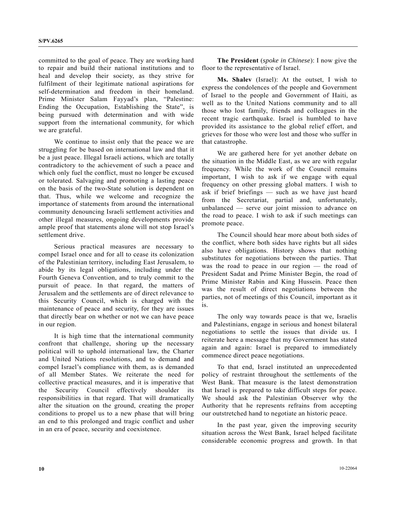committed to the goal of peace. They are working hard to repair and build their national institutions and to heal and develop their society, as they strive for fulfilment of their legitimate national aspirations for self-determination and freedom in their homeland. Prime Minister Salam Fayyad's plan, "Palestine: Ending the Occupation, Establishing the State", is being pursued with determination and with wide support from the international community, for which we are grateful.

 We continue to insist only that the peace we are struggling for be based on international law and that it be a just peace. Illegal Israeli actions, which are totally contradictory to the achievement of such a peace and which only fuel the conflict, must no longer be excused or tolerated. Salvaging and promoting a lasting peace on the basis of the two-State solution is dependent on that. Thus, while we welcome and recognize the importance of statements from around the international community denouncing Israeli settlement activities and other illegal measures, ongoing developments provide ample proof that statements alone will not stop Israel's settlement drive.

 Serious practical measures are necessary to compel Israel once and for all to cease its colonization of the Palestinian territory, including East Jerusalem, to abide by its legal obligations, including under the Fourth Geneva Convention, and to truly commit to the pursuit of peace. In that regard, the matters of Jerusalem and the settlements are of direct relevance to this Security Council, which is charged with the maintenance of peace and security, for they are issues that directly bear on whether or not we can have peace in our region.

 It is high time that the international community confront that challenge, shoring up the necessary political will to uphold international law, the Charter and United Nations resolutions, and to demand and compel Israel's compliance with them, as is demanded of all Member States. We reiterate the need for collective practical measures, and it is imperative that the Security Council effectively shoulder its responsibilities in that regard. That will dramatically alter the situation on the ground, creating the proper conditions to propel us to a new phase that will bring an end to this prolonged and tragic conflict and usher in an era of peace, security and coexistence.

**The President** (*spoke in Chinese*): I now give the floor to the representative of Israel.

**Ms. Shalev** (Israel): At the outset, I wish to express the condolences of the people and Government of Israel to the people and Government of Haiti, as well as to the United Nations community and to all those who lost family, friends and colleagues in the recent tragic earthquake. Israel is humbled to have provided its assistance to the global relief effort, and grieves for those who were lost and those who suffer in that catastrophe.

 We are gathered here for yet another debate on the situation in the Middle East, as we are with regular frequency. While the work of the Council remains important, I wish to ask if we engage with equal frequency on other pressing global matters. I wish to ask if brief briefings — such as we have just heard from the Secretariat, partial and, unfortunately, unbalanced — serve our joint mission to advance on the road to peace. I wish to ask if such meetings can promote peace.

 The Council should hear more about both sides of the conflict, where both sides have rights but all sides also have obligations. History shows that nothing substitutes for negotiations between the parties. That was the road to peace in our region — the road of President Sadat and Prime Minister Begin, the road of Prime Minister Rabin and King Hussein. Peace then was the result of direct negotiations between the parties, not of meetings of this Council, important as it is.

 The only way towards peace is that we, Israelis and Palestinians, engage in serious and honest bilateral negotiations to settle the issues that divide us. I reiterate here a message that my Government has stated again and again: Israel is prepared to immediately commence direct peace negotiations.

 To that end, Israel instituted an unprecedented policy of restraint throughout the settlements of the West Bank. That measure is the latest demonstration that Israel is prepared to take difficult steps for peace. We should ask the Palestinian Observer why the Authority that he represents refrains from accepting our outstretched hand to negotiate an historic peace.

 In the past year, given the improving security situation across the West Bank, Israel helped facilitate considerable economic progress and growth. In that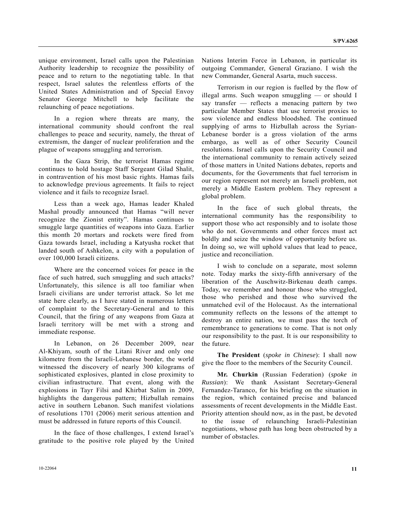unique environment, Israel calls upon the Palestinian Authority leadership to recognize the possibility of peace and to return to the negotiating table. In that respect, Israel salutes the relentless efforts of the United States Administration and of Special Envoy Senator George Mitchell to help facilitate the relaunching of peace negotiations.

 In a region where threats are many, the international community should confront the real challenges to peace and security, namely, the threat of extremism, the danger of nuclear proliferation and the plague of weapons smuggling and terrorism.

 In the Gaza Strip, the terrorist Hamas regime continues to hold hostage Staff Sergeant Gilad Shalit, in contravention of his most basic rights. Hamas fails to acknowledge previous agreements. It fails to reject violence and it fails to recognize Israel.

 Less than a week ago, Hamas leader Khaled Mashal proudly announced that Hamas "will never recognize the Zionist entity". Hamas continues to smuggle large quantities of weapons into Gaza. Earlier this month 20 mortars and rockets were fired from Gaza towards Israel, including a Katyusha rocket that landed south of Ashkelon, a city with a population of over 100,000 Israeli citizens.

 Where are the concerned voices for peace in the face of such hatred, such smuggling and such attacks? Unfortunately, this silence is all too familiar when Israeli civilians are under terrorist attack. So let me state here clearly, as I have stated in numerous letters of complaint to the Secretary-General and to this Council, that the firing of any weapons from Gaza at Israeli territory will be met with a strong and immediate response.

 In Lebanon, on 26 December 2009, near Al-Khiyam, south of the Litani River and only one kilometre from the Israeli-Lebanese border, the world witnessed the discovery of nearly 300 kilograms of sophisticated explosives, planted in close proximity to civilian infrastructure. That event, along with the explosions in Tayr Filsi and Khirbat Salim in 2009, highlights the dangerous pattern; Hizbullah remains active in southern Lebanon. Such manifest violations of resolutions 1701 (2006) merit serious attention and must be addressed in future reports of this Council.

 In the face of those challenges, I extend Israel's gratitude to the positive role played by the United Nations Interim Force in Lebanon, in particular its outgoing Commander, General Graziano. I wish the new Commander, General Asarta, much success.

 Terrorism in our region is fuelled by the flow of illegal arms. Such weapon smuggling — or should I say transfer — reflects a menacing pattern by two particular Member States that use terrorist proxies to sow violence and endless bloodshed. The continued supplying of arms to Hizbullah across the Syrian-Lebanese border is a gross violation of the arms embargo, as well as of other Security Council resolutions. Israel calls upon the Security Council and the international community to remain actively seized of those matters in United Nations debates, reports and documents, for the Governments that fuel terrorism in our region represent not merely an Israeli problem, not merely a Middle Eastern problem. They represent a global problem.

 In the face of such global threats, the international community has the responsibility to support those who act responsibly and to isolate those who do not. Governments and other forces must act boldly and seize the window of opportunity before us. In doing so, we will uphold values that lead to peace, justice and reconciliation.

 I wish to conclude on a separate, most solemn note. Today marks the sixty-fifth anniversary of the liberation of the Auschwitz-Birkenau death camps. Today, we remember and honour those who struggled, those who perished and those who survived the unmatched evil of the Holocaust. As the international community reflects on the lessons of the attempt to destroy an entire nation, we must pass the torch of remembrance to generations to come. That is not only our responsibility to the past. It is our responsibility to the future.

**The President** (*spoke in Chinese*): I shall now give the floor to the members of the Security Council.

**Mr. Churkin** (Russian Federation) (*spoke in Russian*): We thank Assistant Secretary-General Fernandez-Taranco, for his briefing on the situation in the region, which contained precise and balanced assessments of recent developments in the Middle East. Priority attention should now, as in the past, be devoted to the issue of relaunching Israeli-Palestinian negotiations, whose path has long been obstructed by a number of obstacles.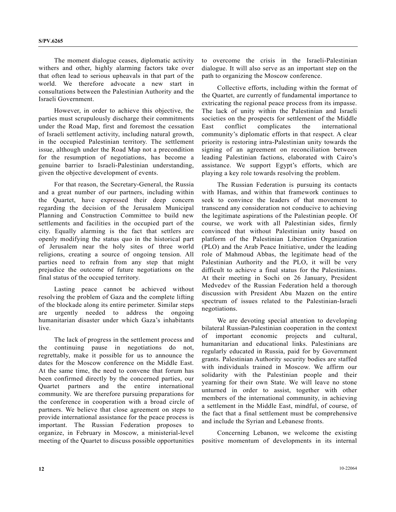The moment dialogue ceases, diplomatic activity withers and other, highly alarming factors take over that often lead to serious upheavals in that part of the world. We therefore advocate a new start in consultations between the Palestinian Authority and the Israeli Government.

 However, in order to achieve this objective, the parties must scrupulously discharge their commitments under the Road Map, first and foremost the cessation of Israeli settlement activity, including natural growth, in the occupied Palestinian territory. The settlement issue, although under the Road Map not a precondition for the resumption of negotiations, has become a genuine barrier to Israeli-Palestinian understanding, given the objective development of events.

 For that reason, the Secretary-General, the Russia and a great number of our partners, including within the Quartet, have expressed their deep concern regarding the decision of the Jerusalem Municipal Planning and Construction Committee to build new settlements and facilities in the occupied part of the city. Equally alarming is the fact that settlers are openly modifying the status quo in the historical part of Jerusalem near the holy sites of three world religions, creating a source of ongoing tension. All parties need to refrain from any step that might prejudice the outcome of future negotiations on the final status of the occupied territory.

 Lasting peace cannot be achieved without resolving the problem of Gaza and the complete lifting of the blockade along its entire perimeter. Similar steps are urgently needed to address the ongoing humanitarian disaster under which Gaza's inhabitants live.

 The lack of progress in the settlement process and the continuing pause in negotiations do not, regrettably, make it possible for us to announce the dates for the Moscow conference on the Middle East. At the same time, the need to convene that forum has been confirmed directly by the concerned parties, our Quartet partners and the entire international community. We are therefore pursuing preparations for the conference in cooperation with a broad circle of partners. We believe that close agreement on steps to provide international assistance for the peace process is important. The Russian Federation proposes to organize, in February in Moscow, a ministerial-level meeting of the Quartet to discuss possible opportunities

to overcome the crisis in the Israeli-Palestinian dialogue. It will also serve as an important step on the path to organizing the Moscow conference.

 Collective efforts, including within the format of the Quartet, are currently of fundamental importance to extricating the regional peace process from its impasse. The lack of unity within the Palestinian and Israeli societies on the prospects for settlement of the Middle East conflict complicates the international community's diplomatic efforts in that respect. A clear priority is restoring intra-Palestinian unity towards the signing of an agreement on reconciliation between leading Palestinian factions, elaborated with Cairo's assistance. We support Egypt's efforts, which are playing a key role towards resolving the problem.

 The Russian Federation is pursuing its contacts with Hamas, and within that framework continues to seek to convince the leaders of that movement to transcend any consideration not conducive to achieving the legitimate aspirations of the Palestinian people. Of course, we work with all Palestinian sides, firmly convinced that without Palestinian unity based on platform of the Palestinian Liberation Organization (PLO) and the Arab Peace Initiative, under the leading role of Mahmoud Abbas, the legitimate head of the Palestinian Authority and the PLO, it will be very difficult to achieve a final status for the Palestinians. At their meeting in Sochi on 26 January, President Medvedev of the Russian Federation held a thorough discussion with President Abu Mazen on the entire spectrum of issues related to the Palestinian-Israeli negotiations.

 We are devoting special attention to developing bilateral Russian-Palestinian cooperation in the context of important economic projects and cultural, humanitarian and educational links. Palestinians are regularly educated in Russia, paid for by Government grants. Palestinian Authority security bodies are staffed with individuals trained in Moscow. We affirm our solidarity with the Palestinian people and their yearning for their own State. We will leave no stone unturned in order to assist, together with other members of the international community, in achieving a settlement in the Middle East, mindful, of course, of the fact that a final settlement must be comprehensive and include the Syrian and Lebanese fronts.

 Concerning Lebanon, we welcome the existing positive momentum of developments in its internal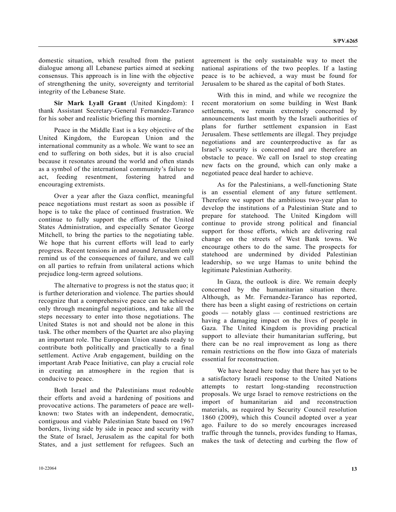domestic situation, which resulted from the patient dialogue among all Lebanese parties aimed at seeking consensus. This approach is in line with the objective of strengthening the unity, sovereignty and territorial integrity of the Lebanese State.

**Sir Mark Lyall Grant** (United Kingdom): I thank Assistant Secretary-General Fernandez-Taranco for his sober and realistic briefing this morning.

 Peace in the Middle East is a key objective of the United Kingdom, the European Union and the international community as a whole. We want to see an end to suffering on both sides, but it is also crucial because it resonates around the world and often stands as a symbol of the international community's failure to act, feeding resentment, fostering hatred and encouraging extremists.

 Over a year after the Gaza conflict, meaningful peace negotiations must restart as soon as possible if hope is to take the place of continued frustration. We continue to fully support the efforts of the United States Administration, and especially Senator George Mitchell, to bring the parties to the negotiating table. We hope that his current efforts will lead to early progress. Recent tensions in and around Jerusalem only remind us of the consequences of failure, and we call on all parties to refrain from unilateral actions which prejudice long-term agreed solutions.

 The alternative to progress is not the status quo; it is further deterioration and violence. The parties should recognize that a comprehensive peace can be achieved only through meaningful negotiations, and take all the steps necessary to enter into those negotiations. The United States is not and should not be alone in this task. The other members of the Quartet are also playing an important role. The European Union stands ready to contribute both politically and practically to a final settlement. Active Arab engagement, building on the important Arab Peace Initiative, can play a crucial role in creating an atmosphere in the region that is conducive to peace.

 Both Israel and the Palestinians must redouble their efforts and avoid a hardening of positions and provocative actions. The parameters of peace are wellknown: two States with an independent, democratic, contiguous and viable Palestinian State based on 1967 borders, living side by side in peace and security with the State of Israel, Jerusalem as the capital for both States, and a just settlement for refugees. Such an agreement is the only sustainable way to meet the national aspirations of the two peoples. If a lasting peace is to be achieved, a way must be found for Jerusalem to be shared as the capital of both States.

 With this in mind, and while we recognize the recent moratorium on some building in West Bank settlements, we remain extremely concerned by announcements last month by the Israeli authorities of plans for further settlement expansion in East Jerusalem. These settlements are illegal. They prejudge negotiations and are counterproductive as far as Israel's security is concerned and are therefore an obstacle to peace. We call on Israel to stop creating new facts on the ground, which can only make a negotiated peace deal harder to achieve.

 As for the Palestinians, a well-functioning State is an essential element of any future settlement. Therefore we support the ambitious two-year plan to develop the institutions of a Palestinian State and to prepare for statehood. The United Kingdom will continue to provide strong political and financial support for those efforts, which are delivering real change on the streets of West Bank towns. We encourage others to do the same. The prospects for statehood are undermined by divided Palestinian leadership, so we urge Hamas to unite behind the legitimate Palestinian Authority.

 In Gaza, the outlook is dire. We remain deeply concerned by the humanitarian situation there. Although, as Mr. Fernandez-Taranco has reported, there has been a slight easing of restrictions on certain goods — notably glass — continued restrictions are having a damaging impact on the lives of people in Gaza. The United Kingdom is providing practical support to alleviate their humanitarian suffering, but there can be no real improvement as long as there remain restrictions on the flow into Gaza of materials essential for reconstruction.

 We have heard here today that there has yet to be a satisfactory Israeli response to the United Nations attempts to restart long-standing reconstruction proposals. We urge Israel to remove restrictions on the import of humanitarian aid and reconstruction materials, as required by Security Council resolution 1860 (2009), which this Council adopted over a year ago. Failure to do so merely encourages increased traffic through the tunnels, provides funding to Hamas, makes the task of detecting and curbing the flow of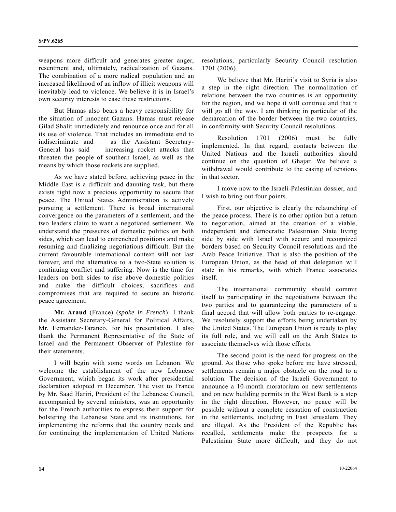weapons more difficult and generates greater anger, resentment and, ultimately, radicalization of Gazans. The combination of a more radical population and an increased likelihood of an inflow of illicit weapons will inevitably lead to violence. We believe it is in Israel's own security interests to ease these restrictions.

 But Hamas also bears a heavy responsibility for the situation of innocent Gazans. Hamas must release Gilad Shalit immediately and renounce once and for all its use of violence. That includes an immediate end to indiscriminate and — as the Assistant Secretary-General has said — increasing rocket attacks that threaten the people of southern Israel, as well as the means by which those rockets are supplied.

 As we have stated before, achieving peace in the Middle East is a difficult and daunting task, but there exists right now a precious opportunity to secure that peace. The United States Administration is actively pursuing a settlement. There is broad international convergence on the parameters of a settlement, and the two leaders claim to want a negotiated settlement. We understand the pressures of domestic politics on both sides, which can lead to entrenched positions and make resuming and finalizing negotiations difficult. But the current favourable international context will not last forever, and the alternative to a two-State solution is continuing conflict and suffering. Now is the time for leaders on both sides to rise above domestic politics and make the difficult choices, sacrifices and compromises that are required to secure an historic peace agreement.

**Mr. Araud** (France) (*spoke in French*): I thank the Assistant Secretary-General for Political Affairs, Mr. Fernandez-Taranco, for his presentation. I also thank the Permanent Representative of the State of Israel and the Permanent Observer of Palestine for their statements.

 I will begin with some words on Lebanon. We welcome the establishment of the new Lebanese Government, which began its work after presidential declaration adopted in December. The visit to France by Mr. Saad Hariri, President of the Lebanese Council, accompanied by several ministers, was an opportunity for the French authorities to express their support for bolstering the Lebanese State and its institutions, for implementing the reforms that the country needs and for continuing the implementation of United Nations resolutions, particularly Security Council resolution 1701 (2006).

 We believe that Mr. Hariri's visit to Syria is also a step in the right direction. The normalization of relations between the two countries is an opportunity for the region, and we hope it will continue and that it will go all the way. I am thinking in particular of the demarcation of the border between the two countries, in conformity with Security Council resolutions.

 Resolution 1701 (2006) must be fully implemented. In that regard, contacts between the United Nations and the Israeli authorities should continue on the question of Ghajar. We believe a withdrawal would contribute to the easing of tensions in that sector.

 I move now to the Israeli-Palestinian dossier, and I wish to bring out four points.

 First, our objective is clearly the relaunching of the peace process. There is no other option but a return to negotiation, aimed at the creation of a viable, independent and democratic Palestinian State living side by side with Israel with secure and recognized borders based on Security Council resolutions and the Arab Peace Initiative. That is also the position of the European Union, as the head of that delegation will state in his remarks, with which France associates itself.

 The international community should commit itself to participating in the negotiations between the two parties and to guaranteeing the parameters of a final accord that will allow both parties to re-engage. We resolutely support the efforts being undertaken by the United States. The European Union is ready to play its full role, and we will call on the Arab States to associate themselves with those efforts.

 The second point is the need for progress on the ground. As those who spoke before me have stressed, settlements remain a major obstacle on the road to a solution. The decision of the Israeli Government to announce a 10-month moratorium on new settlements and on new building permits in the West Bank is a step in the right direction. However, no peace will be possible without a complete cessation of construction in the settlements, including in East Jerusalem. They are illegal. As the President of the Republic has recalled, settlements make the prospects for a Palestinian State more difficult, and they do not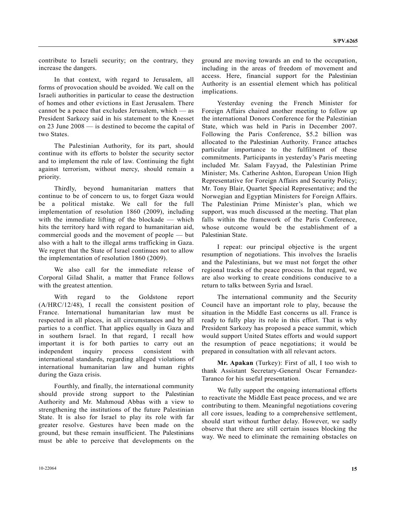contribute to Israeli security; on the contrary, they increase the dangers.

 In that context, with regard to Jerusalem, all forms of provocation should be avoided. We call on the Israeli authorities in particular to cease the destruction of homes and other evictions in East Jerusalem. There cannot be a peace that excludes Jerusalem, which — as President Sarkozy said in his statement to the Knesset on 23 June 2008 — is destined to become the capital of two States.

 The Palestinian Authority, for its part, should continue with its efforts to bolster the security sector and to implement the rule of law. Continuing the fight against terrorism, without mercy, should remain a priority.

 Thirdly, beyond humanitarian matters that continue to be of concern to us, to forget Gaza would be a political mistake. We call for the full implementation of resolution 1860 (2009), including with the immediate lifting of the blockade — which hits the territory hard with regard to humanitarian aid, commercial goods and the movement of people — but also with a halt to the illegal arms trafficking in Gaza. We regret that the State of Israel continues not to allow the implementation of resolution 1860 (2009).

 We also call for the immediate release of Corporal Gilad Shalit, a matter that France follows with the greatest attention.

 With regard to the Goldstone report (A/HRC/12/48), I recall the consistent position of France. International humanitarian law must be respected in all places, in all circumstances and by all parties to a conflict. That applies equally in Gaza and in southern Israel. In that regard, I recall how important it is for both parties to carry out an independent inquiry process consistent with international standards, regarding alleged violations of international humanitarian law and human rights during the Gaza crisis.

 Fourthly, and finally, the international community should provide strong support to the Palestinian Authority and Mr. Mahmoud Abbas with a view to strengthening the institutions of the future Palestinian State. It is also for Israel to play its role with far greater resolve. Gestures have been made on the ground, but these remain insufficient. The Palestinians must be able to perceive that developments on the

10-22064 **15** 

ground are moving towards an end to the occupation, including in the areas of freedom of movement and access. Here, financial support for the Palestinian Authority is an essential element which has political implications.

 Yesterday evening the French Minister for Foreign Affairs chaired another meeting to follow up the international Donors Conference for the Palestinian State, which was held in Paris in December 2007. Following the Paris Conference, \$5.2 billion was allocated to the Palestinian Authority. France attaches particular importance to the fulfilment of these commitments. Participants in yesterday's Paris meeting included Mr. Salam Fayyad, the Palestinian Prime Minister; Ms. Catherine Ashton, European Union High Representative for Foreign Affairs and Security Policy; Mr. Tony Blair, Quartet Special Representative; and the Norwegian and Egyptian Ministers for Foreign Affairs. The Palestinian Prime Minister's plan, which we support, was much discussed at the meeting. That plan falls within the framework of the Paris Conference, whose outcome would be the establishment of a Palestinian State.

 I repeat: our principal objective is the urgent resumption of negotiations. This involves the Israelis and the Palestinians, but we must not forget the other regional tracks of the peace process. In that regard, we are also working to create conditions conducive to a return to talks between Syria and Israel.

 The international community and the Security Council have an important role to play, because the situation in the Middle East concerns us all. France is ready to fully play its role in this effort. That is why President Sarkozy has proposed a peace summit, which would support United States efforts and would support the resumption of peace negotiations; it would be prepared in consultation with all relevant actors.

**Mr. Apakan** (Turkey): First of all, I too wish to thank Assistant Secretary-General Oscar Fernandez-Taranco for his useful presentation.

 We fully support the ongoing international efforts to reactivate the Middle East peace process, and we are contributing to them. Meaningful negotiations covering all core issues, leading to a comprehensive settlement, should start without further delay. However, we sadly observe that there are still certain issues blocking the way. We need to eliminate the remaining obstacles on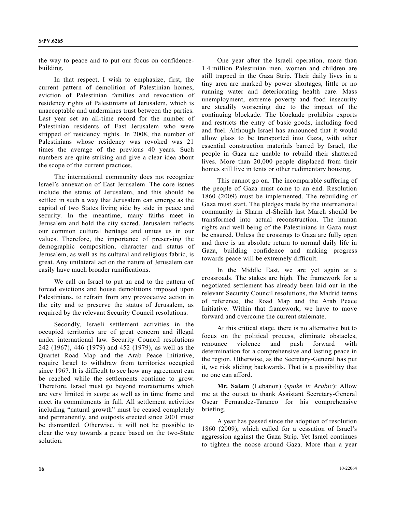the way to peace and to put our focus on confidencebuilding.

 In that respect, I wish to emphasize, first, the current pattern of demolition of Palestinian homes, eviction of Palestinian families and revocation of residency rights of Palestinians of Jerusalem, which is unacceptable and undermines trust between the parties. Last year set an all-time record for the number of Palestinian residents of East Jerusalem who were stripped of residency rights. In 2008, the number of Palestinians whose residency was revoked was 21 times the average of the previous 40 years. Such numbers are quite striking and give a clear idea about the scope of the current practices.

 The international community does not recognize Israel's annexation of East Jerusalem. The core issues include the status of Jerusalem, and this should be settled in such a way that Jerusalem can emerge as the capital of two States living side by side in peace and security. In the meantime, many faiths meet in Jerusalem and hold the city sacred. Jerusalem reflects our common cultural heritage and unites us in our values. Therefore, the importance of preserving the demographic composition, character and status of Jerusalem, as well as its cultural and religious fabric, is great. Any unilateral act on the nature of Jerusalem can easily have much broader ramifications.

 We call on Israel to put an end to the pattern of forced evictions and house demolitions imposed upon Palestinians, to refrain from any provocative action in the city and to preserve the status of Jerusalem, as required by the relevant Security Council resolutions.

 Secondly, Israeli settlement activities in the occupied territories are of great concern and illegal under international law. Security Council resolutions 242 (1967), 446 (1979) and 452 (1979), as well as the Quartet Road Map and the Arab Peace Initiative, require Israel to withdraw from territories occupied since 1967. It is difficult to see how any agreement can be reached while the settlements continue to grow. Therefore, Israel must go beyond moratoriums which are very limited in scope as well as in time frame and meet its commitments in full. All settlement activities including "natural growth" must be ceased completely and permanently, and outposts erected since 2001 must be dismantled. Otherwise, it will not be possible to clear the way towards a peace based on the two-State solution.

 One year after the Israeli operation, more than 1.4 million Palestinian men, women and children are still trapped in the Gaza Strip. Their daily lives in a tiny area are marked by power shortages, little or no running water and deteriorating health care. Mass unemployment, extreme poverty and food insecurity are steadily worsening due to the impact of the continuing blockade. The blockade prohibits exports and restricts the entry of basic goods, including food and fuel. Although Israel has announced that it would allow glass to be transported into Gaza, with other essential construction materials barred by Israel, the people in Gaza are unable to rebuild their shattered lives. More than 20,000 people displaced from their homes still live in tents or other rudimentary housing.

 This cannot go on. The incomparable suffering of the people of Gaza must come to an end. Resolution 1860 (2009) must be implemented. The rebuilding of Gaza must start. The pledges made by the international community in Sharm el-Sheikh last March should be transformed into actual reconstruction. The human rights and well-being of the Palestinians in Gaza must be ensured. Unless the crossings to Gaza are fully open and there is an absolute return to normal daily life in Gaza, building confidence and making progress towards peace will be extremely difficult.

 In the Middle East, we are yet again at a crossroads. The stakes are high. The framework for a negotiated settlement has already been laid out in the relevant Security Council resolutions, the Madrid terms of reference, the Road Map and the Arab Peace Initiative. Within that framework, we have to move forward and overcome the current stalemate.

 At this critical stage, there is no alternative but to focus on the political process, eliminate obstacles, renounce violence and push forward with determination for a comprehensive and lasting peace in the region. Otherwise, as the Secretary-General has put it, we risk sliding backwards. That is a possibility that no one can afford.

**Mr. Salam** (Lebanon) (*spoke in Arabic*): Allow me at the outset to thank Assistant Secretary-General Oscar Fernandez-Taranco for his comprehensive briefing.

 A year has passed since the adoption of resolution 1860 (2009), which called for a cessation of Israel's aggression against the Gaza Strip. Yet Israel continues to tighten the noose around Gaza. More than a year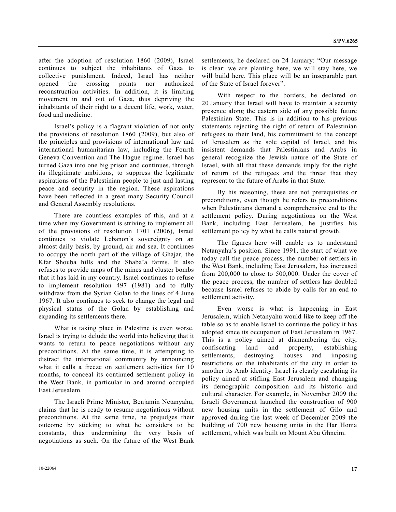after the adoption of resolution 1860 (2009), Israel continues to subject the inhabitants of Gaza to collective punishment. Indeed, Israel has neither opened the crossing points nor authorized reconstruction activities. In addition, it is limiting movement in and out of Gaza, thus depriving the inhabitants of their right to a decent life, work, water, food and medicine.

 Israel's policy is a flagrant violation of not only the provisions of resolution 1860 (2009), but also of the principles and provisions of international law and international humanitarian law, including the Fourth Geneva Convention and The Hague regime. Israel has turned Gaza into one big prison and continues, through its illegitimate ambitions, to suppress the legitimate aspirations of the Palestinian people to just and lasting peace and security in the region. These aspirations have been reflected in a great many Security Council and General Assembly resolutions.

 There are countless examples of this, and at a time when my Government is striving to implement all of the provisions of resolution 1701 (2006), Israel continues to violate Lebanon's sovereignty on an almost daily basis, by ground, air and sea. It continues to occupy the north part of the village of Ghajar, the Kfar Shouba hills and the Shaba'a farms. It also refuses to provide maps of the mines and cluster bombs that it has laid in my country. Israel continues to refuse to implement resolution 497 (1981) and to fully withdraw from the Syrian Golan to the lines of 4 June 1967. It also continues to seek to change the legal and physical status of the Golan by establishing and expanding its settlements there.

 What is taking place in Palestine is even worse. Israel is trying to delude the world into believing that it wants to return to peace negotiations without any preconditions. At the same time, it is attempting to distract the international community by announcing what it calls a freeze on settlement activities for 10 months, to conceal its continued settlement policy in the West Bank, in particular in and around occupied East Jerusalem.

 The Israeli Prime Minister, Benjamin Netanyahu, claims that he is ready to resume negotiations without preconditions. At the same time, he prejudges their outcome by sticking to what he considers to be constants, thus undermining the very basis of negotiations as such. On the future of the West Bank settlements, he declared on 24 January: "Our message is clear: we are planting here, we will stay here, we will build here. This place will be an inseparable part of the State of Israel forever".

 With respect to the borders, he declared on 20 January that Israel will have to maintain a security presence along the eastern side of any possible future Palestinian State. This is in addition to his previous statements rejecting the right of return of Palestinian refugees to their land, his commitment to the concept of Jerusalem as the sole capital of Israel, and his insistent demands that Palestinians and Arabs in general recognize the Jewish nature of the State of Israel, with all that these demands imply for the right of return of the refugees and the threat that they represent to the future of Arabs in that State.

 By his reasoning, these are not prerequisites or preconditions, even though he refers to preconditions when Palestinians demand a comprehensive end to the settlement policy. During negotiations on the West Bank, including East Jerusalem, he justifies his settlement policy by what he calls natural growth.

 The figures here will enable us to understand Netanyahu's position. Since 1991, the start of what we today call the peace process, the number of settlers in the West Bank, including East Jerusalem, has increased from 200,000 to close to 500,000. Under the cover of the peace process, the number of settlers has doubled because Israel refuses to abide by calls for an end to settlement activity.

 Even worse is what is happening in East Jerusalem, which Netanyahu would like to keep off the table so as to enable Israel to continue the policy it has adopted since its occupation of East Jerusalem in 1967. This is a policy aimed at dismembering the city, confiscating land and property, establishing settlements, destroying houses and imposing restrictions on the inhabitants of the city in order to smother its Arab identity. Israel is clearly escalating its policy aimed at stifling East Jerusalem and changing its demographic composition and its historic and cultural character. For example, in November 2009 the Israeli Government launched the construction of 900 new housing units in the settlement of Gilo and approved during the last week of December 2009 the building of 700 new housing units in the Har Homa settlement, which was built on Mount Abu Ghneim.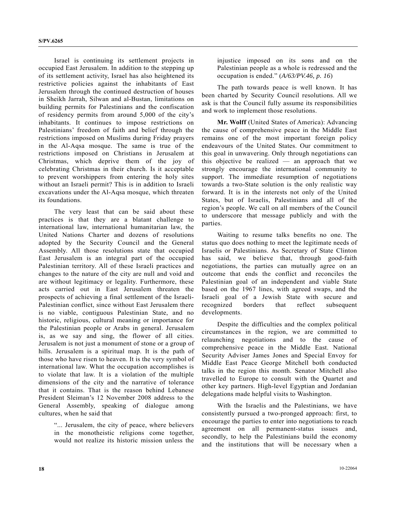Israel is continuing its settlement projects in occupied East Jerusalem. In addition to the stepping up of its settlement activity, Israel has also heightened its restrictive policies against the inhabitants of East Jerusalem through the continued destruction of houses in Sheikh Jarrah, Silwan and al-Bustan, limitations on building permits for Palestinians and the confiscation of residency permits from around 5,000 of the city's inhabitants. It continues to impose restrictions on Palestinians' freedom of faith and belief through the restrictions imposed on Muslims during Friday prayers in the Al-Aqsa mosque. The same is true of the restrictions imposed on Christians in Jerusalem at Christmas, which deprive them of the joy of celebrating Christmas in their church. Is it acceptable to prevent worshippers from entering the holy sites without an Israeli permit? This is in addition to Israeli excavations under the Al-Aqsa mosque, which threaten its foundations.

 The very least that can be said about these practices is that they are a blatant challenge to international law, international humanitarian law, the United Nations Charter and dozens of resolutions adopted by the Security Council and the General Assembly. All those resolutions state that occupied East Jerusalem is an integral part of the occupied Palestinian territory. All of these Israeli practices and changes to the nature of the city are null and void and are without legitimacy or legality. Furthermore, these acts carried out in East Jerusalem threaten the prospects of achieving a final settlement of the Israeli-Palestinian conflict, since without East Jerusalem there is no viable, contiguous Palestinian State, and no historic, religious, cultural meaning or importance for the Palestinian people or Arabs in general. Jerusalem is, as we say and sing, the flower of all cities. Jerusalem is not just a monument of stone or a group of hills. Jerusalem is a spiritual map. It is the path of those who have risen to heaven. It is the very symbol of international law. What the occupation accomplishes is to violate that law. It is a violation of the multiple dimensions of the city and the narrative of tolerance that it contains. That is the reason behind Lebanese President Sleiman's 12 November 2008 address to the General Assembly, speaking of dialogue among cultures, when he said that

 "... Jerusalem, the city of peace, where believers in the monotheistic religions come together, would not realize its historic mission unless the

injustice imposed on its sons and on the Palestinian people as a whole is redressed and the occupation is ended." (*A/63/PV.46, p. 16*)

 The path towards peace is well known. It has been charted by Security Council resolutions. All we ask is that the Council fully assume its responsibilities and work to implement those resolutions.

**Mr. Wolff** (United States of America): Advancing the cause of comprehensive peace in the Middle East remains one of the most important foreign policy endeavours of the United States. Our commitment to this goal in unwavering. Only through negotiations can this objective be realized — an approach that we strongly encourage the international community to support. The immediate resumption of negotiations towards a two-State solution is the only realistic way forward. It is in the interests not only of the United States, but of Israelis, Palestinians and all of the region's people. We call on all members of the Council to underscore that message publicly and with the parties.

 Waiting to resume talks benefits no one. The status quo does nothing to meet the legitimate needs of Israelis or Palestinians. As Secretary of State Clinton has said, we believe that, through good-faith negotiations, the parties can mutually agree on an outcome that ends the conflict and reconciles the Palestinian goal of an independent and viable State based on the 1967 lines, with agreed swaps, and the Israeli goal of a Jewish State with secure and recognized borders that reflect subsequent developments.

 Despite the difficulties and the complex political circumstances in the region, we are committed to relaunching negotiations and to the cause of comprehensive peace in the Middle East. National Security Adviser James Jones and Special Envoy for Middle East Peace George Mitchell both conducted talks in the region this month. Senator Mitchell also travelled to Europe to consult with the Quartet and other key partners. High-level Egyptian and Jordanian delegations made helpful visits to Washington.

 With the Israelis and the Palestinians, we have consistently pursued a two-pronged approach: first, to encourage the parties to enter into negotiations to reach agreement on all permanent-status issues and, secondly, to help the Palestinians build the economy and the institutions that will be necessary when a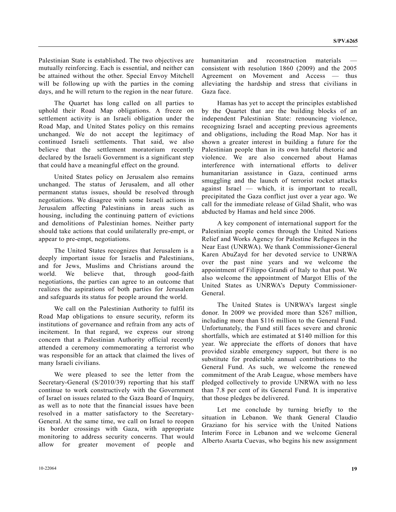Palestinian State is established. The two objectives are mutually reinforcing. Each is essential, and neither can be attained without the other. Special Envoy Mitchell will be following up with the parties in the coming days, and he will return to the region in the near future.

 The Quartet has long called on all parties to uphold their Road Map obligations. A freeze on settlement activity is an Israeli obligation under the Road Map, and United States policy on this remains unchanged. We do not accept the legitimacy of continued Israeli settlements. That said, we also believe that the settlement moratorium recently declared by the Israeli Government is a significant step that could have a meaningful effect on the ground.

 United States policy on Jerusalem also remains unchanged. The status of Jerusalem, and all other permanent status issues, should be resolved through negotiations. We disagree with some Israeli actions in Jerusalem affecting Palestinians in areas such as housing, including the continuing pattern of evictions and demolitions of Palestinian homes. Neither party should take actions that could unilaterally pre-empt, or appear to pre-empt, negotiations.

 The United States recognizes that Jerusalem is a deeply important issue for Israelis and Palestinians, and for Jews, Muslims and Christians around the world. We believe that, through good-faith negotiations, the parties can agree to an outcome that realizes the aspirations of both parties for Jerusalem and safeguards its status for people around the world.

 We call on the Palestinian Authority to fulfil its Road Map obligations to ensure security, reform its institutions of governance and refrain from any acts of incitement. In that regard, we express our strong concern that a Palestinian Authority official recently attended a ceremony commemorating a terrorist who was responsible for an attack that claimed the lives of many Israeli civilians.

 We were pleased to see the letter from the Secretary-General (S/2010/39) reporting that his staff continue to work constructively with the Government of Israel on issues related to the Gaza Board of Inquiry, as well as to note that the financial issues have been resolved in a matter satisfactory to the Secretary-General. At the same time, we call on Israel to reopen its border crossings with Gaza, with appropriate monitoring to address security concerns. That would allow for greater movement of people and

 Hamas has yet to accept the principles established by the Quartet that are the building blocks of an independent Palestinian State: renouncing violence, recognizing Israel and accepting previous agreements and obligations, including the Road Map. Nor has it shown a greater interest in building a future for the Palestinian people than in its own hateful rhetoric and violence. We are also concerned about Hamas interference with international efforts to deliver humanitarian assistance in Gaza, continued arms smuggling and the launch of terrorist rocket attacks against Israel — which, it is important to recall, precipitated the Gaza conflict just over a year ago. We call for the immediate release of Gilad Shalit, who was abducted by Hamas and held since 2006.

 A key component of international support for the Palestinian people comes through the United Nations Relief and Works Agency for Palestine Refugees in the Near East (UNRWA). We thank Commissioner-General Karen AbuZayd for her devoted service to UNRWA over the past nine years and we welcome the appointment of Filippo Grandi of Italy to that post. We also welcome the appointment of Margot Ellis of the United States as UNRWA's Deputy Commissioner-General.

 The United States is UNRWA's largest single donor. In 2009 we provided more than \$267 million, including more than \$116 million to the General Fund. Unfortunately, the Fund still faces severe and chronic shortfalls, which are estimated at \$140 million for this year. We appreciate the efforts of donors that have provided sizable emergency support, but there is no substitute for predictable annual contributions to the General Fund. As such, we welcome the renewed commitment of the Arab League, whose members have pledged collectively to provide UNRWA with no less than 7.8 per cent of its General Fund. It is imperative that those pledges be delivered.

 Let me conclude by turning briefly to the situation in Lebanon. We thank General Claudio Graziano for his service with the United Nations Interim Force in Lebanon and we welcome General Alberto Asarta Cuevas, who begins his new assignment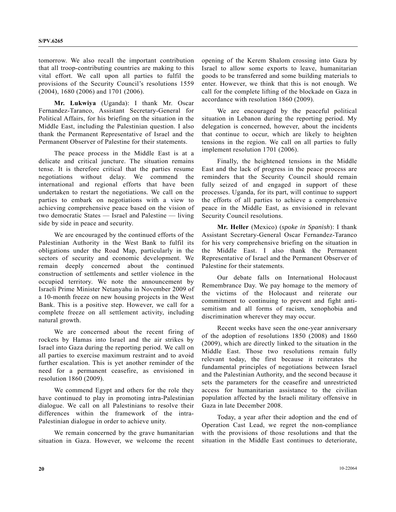tomorrow. We also recall the important contribution that all troop-contributing countries are making to this vital effort. We call upon all parties to fulfil the provisions of the Security Council's resolutions 1559 (2004), 1680 (2006) and 1701 (2006).

**Mr. Lukwiya** (Uganda): I thank Mr. Oscar Fernandez-Taranco, Assistant Secretary-General for Political Affairs, for his briefing on the situation in the Middle East, including the Palestinian question. I also thank the Permanent Representative of Israel and the Permanent Observer of Palestine for their statements.

 The peace process in the Middle East is at a delicate and critical juncture. The situation remains tense. It is therefore critical that the parties resume negotiations without delay. We commend the international and regional efforts that have been undertaken to restart the negotiations. We call on the parties to embark on negotiations with a view to achieving comprehensive peace based on the vision of two democratic States — Israel and Palestine — living side by side in peace and security.

 We are encouraged by the continued efforts of the Palestinian Authority in the West Bank to fulfil its obligations under the Road Map, particularly in the sectors of security and economic development. We remain deeply concerned about the continued construction of settlements and settler violence in the occupied territory. We note the announcement by Israeli Prime Minister Netanyahu in November 2009 of a 10-month freeze on new housing projects in the West Bank. This is a positive step. However, we call for a complete freeze on all settlement activity, including natural growth.

 We are concerned about the recent firing of rockets by Hamas into Israel and the air strikes by Israel into Gaza during the reporting period. We call on all parties to exercise maximum restraint and to avoid further escalation. This is yet another reminder of the need for a permanent ceasefire, as envisioned in resolution 1860 (2009).

 We commend Egypt and others for the role they have continued to play in promoting intra-Palestinian dialogue. We call on all Palestinians to resolve their differences within the framework of the intra-Palestinian dialogue in order to achieve unity.

 We remain concerned by the grave humanitarian situation in Gaza. However, we welcome the recent

opening of the Kerem Shalom crossing into Gaza by Israel to allow some exports to leave, humanitarian goods to be transferred and some building materials to enter. However, we think that this is not enough. We call for the complete lifting of the blockade on Gaza in accordance with resolution 1860 (2009).

We are encouraged by the peaceful political situation in Lebanon during the reporting period. My delegation is concerned, however, about the incidents that continue to occur, which are likely to heighten tensions in the region. We call on all parties to fully implement resolution 1701 (2006).

 Finally, the heightened tensions in the Middle East and the lack of progress in the peace process are reminders that the Security Council should remain fully seized of and engaged in support of these processes. Uganda, for its part, will continue to support the efforts of all parties to achieve a comprehensive peace in the Middle East, as envisioned in relevant Security Council resolutions.

**Mr. Heller** (Mexico) (*spoke in Spanish*): I thank Assistant Secretary-General Oscar Fernandez-Taranco for his very comprehensive briefing on the situation in the Middle East. I also thank the Permanent Representative of Israel and the Permanent Observer of Palestine for their statements.

 Our debate falls on International Holocaust Remembrance Day. We pay homage to the memory of the victims of the Holocaust and reiterate our commitment to continuing to prevent and fight antisemitism and all forms of racism, xenophobia and discrimination wherever they may occur.

 Recent weeks have seen the one-year anniversary of the adoption of resolutions 1850 (2008) and 1860 (2009), which are directly linked to the situation in the Middle East. Those two resolutions remain fully relevant today, the first because it reiterates the fundamental principles of negotiations between Israel and the Palestinian Authority, and the second because it sets the parameters for the ceasefire and unrestricted access for humanitarian assistance to the civilian population affected by the Israeli military offensive in Gaza in late December 2008.

 Today, a year after their adoption and the end of Operation Cast Lead, we regret the non-compliance with the provisions of those resolutions and that the situation in the Middle East continues to deteriorate,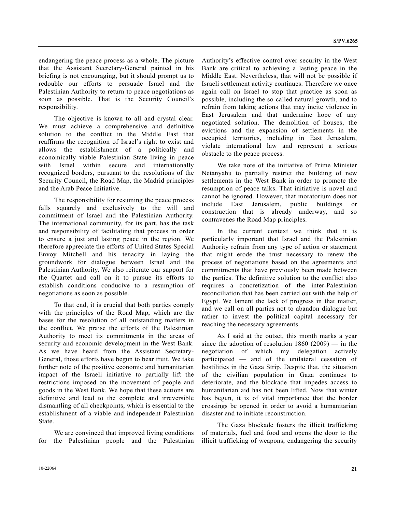endangering the peace process as a whole. The picture that the Assistant Secretary-General painted in his briefing is not encouraging, but it should prompt us to redouble our efforts to persuade Israel and the Palestinian Authority to return to peace negotiations as soon as possible. That is the Security Council's responsibility.

 The objective is known to all and crystal clear. We must achieve a comprehensive and definitive solution to the conflict in the Middle East that reaffirms the recognition of Israel's right to exist and allows the establishment of a politically and economically viable Palestinian State living in peace with Israel within secure and internationally recognized borders, pursuant to the resolutions of the Security Council, the Road Map, the Madrid principles and the Arab Peace Initiative.

 The responsibility for resuming the peace process falls squarely and exclusively to the will and commitment of Israel and the Palestinian Authority. The international community, for its part, has the task and responsibility of facilitating that process in order to ensure a just and lasting peace in the region. We therefore appreciate the efforts of United States Special Envoy Mitchell and his tenacity in laying the groundwork for dialogue between Israel and the Palestinian Authority. We also reiterate our support for the Quartet and call on it to pursue its efforts to establish conditions conducive to a resumption of negotiations as soon as possible.

 To that end, it is crucial that both parties comply with the principles of the Road Map, which are the bases for the resolution of all outstanding matters in the conflict. We praise the efforts of the Palestinian Authority to meet its commitments in the areas of security and economic development in the West Bank. As we have heard from the Assistant Secretary-General, those efforts have begun to bear fruit. We take further note of the positive economic and humanitarian impact of the Israeli initiative to partially lift the restrictions imposed on the movement of people and goods in the West Bank. We hope that these actions are definitive and lead to the complete and irreversible dismantling of all checkpoints, which is essential to the establishment of a viable and independent Palestinian State.

 We are convinced that improved living conditions for the Palestinian people and the Palestinian

Authority's effective control over security in the West Bank are critical to achieving a lasting peace in the Middle East. Nevertheless, that will not be possible if Israeli settlement activity continues. Therefore we once again call on Israel to stop that practice as soon as possible, including the so-called natural growth, and to refrain from taking actions that may incite violence in East Jerusalem and that undermine hope of any negotiated solution. The demolition of houses, the evictions and the expansion of settlements in the occupied territories, including in East Jerusalem, violate international law and represent a serious obstacle to the peace process.

 We take note of the initiative of Prime Minister Netanyahu to partially restrict the building of new settlements in the West Bank in order to promote the resumption of peace talks. That initiative is novel and cannot be ignored. However, that moratorium does not include East Jerusalem, public buildings or construction that is already underway, and so contravenes the Road Map principles.

 In the current context we think that it is particularly important that Israel and the Palestinian Authority refrain from any type of action or statement that might erode the trust necessary to renew the process of negotiations based on the agreements and commitments that have previously been made between the parties. The definitive solution to the conflict also requires a concretization of the inter-Palestinian reconciliation that has been carried out with the help of Egypt. We lament the lack of progress in that matter, and we call on all parties not to abandon dialogue but rather to invest the political capital necessary for reaching the necessary agreements.

 As I said at the outset, this month marks a year since the adoption of resolution  $1860 (2009)$  — in the negotiation of which my delegation actively participated — and of the unilateral cessation of hostilities in the Gaza Strip. Despite that, the situation of the civilian population in Gaza continues to deteriorate, and the blockade that impedes access to humanitarian aid has not been lifted. Now that winter has begun, it is of vital importance that the border crossings be opened in order to avoid a humanitarian disaster and to initiate reconstruction.

 The Gaza blockade fosters the illicit trafficking of materials, fuel and food and opens the door to the illicit trafficking of weapons, endangering the security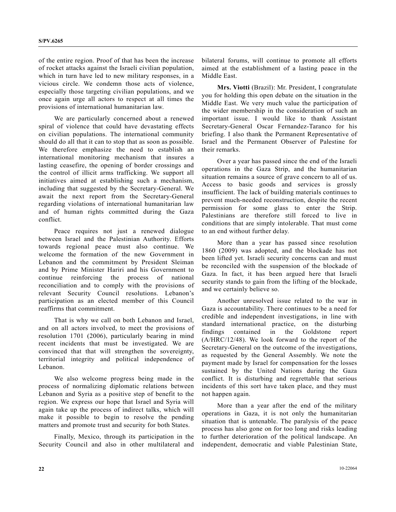of the entire region. Proof of that has been the increase of rocket attacks against the Israeli civilian population, which in turn have led to new military responses, in a vicious circle. We condemn those acts of violence, especially those targeting civilian populations, and we once again urge all actors to respect at all times the provisions of international humanitarian law.

 We are particularly concerned about a renewed spiral of violence that could have devastating effects on civilian populations. The international community should do all that it can to stop that as soon as possible. We therefore emphasize the need to establish an international monitoring mechanism that insures a lasting ceasefire, the opening of border crossings and the control of illicit arms trafficking. We support all initiatives aimed at establishing such a mechanism, including that suggested by the Secretary-General. We await the next report from the Secretary-General regarding violations of international humanitarian law and of human rights committed during the Gaza conflict.

 Peace requires not just a renewed dialogue between Israel and the Palestinian Authority. Efforts towards regional peace must also continue. We welcome the formation of the new Government in Lebanon and the commitment by President Sleiman and by Prime Minister Hariri and his Government to continue reinforcing the process of national reconciliation and to comply with the provisions of relevant Security Council resolutions. Lebanon's participation as an elected member of this Council reaffirms that commitment.

 That is why we call on both Lebanon and Israel, and on all actors involved, to meet the provisions of resolution 1701 (2006), particularly bearing in mind recent incidents that must be investigated. We are convinced that that will strengthen the sovereignty, territorial integrity and political independence of Lebanon.

 We also welcome progress being made in the process of normalizing diplomatic relations between Lebanon and Syria as a positive step of benefit to the region. We express our hope that Israel and Syria will again take up the process of indirect talks, which will make it possible to begin to resolve the pending matters and promote trust and security for both States.

 Finally, Mexico, through its participation in the Security Council and also in other multilateral and bilateral forums, will continue to promote all efforts aimed at the establishment of a lasting peace in the Middle East.

**Mrs. Viotti** (Brazil): Mr. President, I congratulate you for holding this open debate on the situation in the Middle East. We very much value the participation of the wider membership in the consideration of such an important issue. I would like to thank Assistant Secretary-General Oscar Fernandez-Taranco for his briefing. I also thank the Permanent Representative of Israel and the Permanent Observer of Palestine for their remarks.

 Over a year has passed since the end of the Israeli operations in the Gaza Strip, and the humanitarian situation remains a source of grave concern to all of us. Access to basic goods and services is grossly insufficient. The lack of building materials continues to prevent much-needed reconstruction, despite the recent permission for some glass to enter the Strip. Palestinians are therefore still forced to live in conditions that are simply intolerable. That must come to an end without further delay.

 More than a year has passed since resolution 1860 (2009) was adopted, and the blockade has not been lifted yet. Israeli security concerns can and must be reconciled with the suspension of the blockade of Gaza. In fact, it has been argued here that Israeli security stands to gain from the lifting of the blockade, and we certainly believe so.

 Another unresolved issue related to the war in Gaza is accountability. There continues to be a need for credible and independent investigations, in line with standard international practice, on the disturbing findings contained in the Goldstone report (A/HRC/12/48). We look forward to the report of the Secretary-General on the outcome of the investigations, as requested by the General Assembly. We note the payment made by Israel for compensation for the losses sustained by the United Nations during the Gaza conflict. It is disturbing and regrettable that serious incidents of this sort have taken place, and they must not happen again.

 More than a year after the end of the military operations in Gaza, it is not only the humanitarian situation that is untenable. The paralysis of the peace process has also gone on for too long and risks leading to further deterioration of the political landscape. An independent, democratic and viable Palestinian State,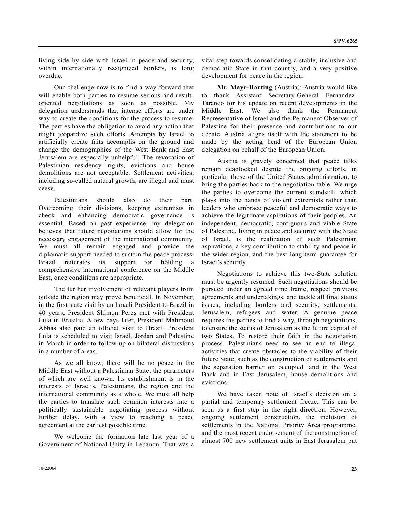living side by side with Israel in peace and security, within internationally recognized borders, is long overdue.

 Our challenge now is to find a way forward that will enable both parties to resume serious and resultoriented negotiations as soon as possible. My delegation understands that intense efforts are under way to create the conditions for the process to resume. The parties have the obligation to avoid any action that might jeopardize such efforts. Attempts by Israel to artificially create faits accomplis on the ground and change the demographics of the West Bank and East Jerusalem are especially unhelpful. The revocation of Palestinian residency rights, evictions and house demolitions are not acceptable. Settlement activities, including so-called natural growth, are illegal and must cease.

 Palestinians should also do their part. Overcoming their divisions, keeping extremists in check and enhancing democratic governance is essential. Based on past experience, my delegation believes that future negotiations should allow for the necessary engagement of the international community. We must all remain engaged and provide the diplomatic support needed to sustain the peace process. Brazil reiterates its support for holding a comprehensive international conference on the Middle East, once conditions are appropriate.

 The further involvement of relevant players from outside the region may prove beneficial. In November, in the first state visit by an Israeli President to Brazil in 40 years, President Shimon Peres met with President Lula in Brasilia. A few days later, President Mahmoud Abbas also paid an official visit to Brazil. President Lula is scheduled to visit Israel, Jordan and Palestine in March in order to follow up on bilateral discussions in a number of areas.

 As we all know, there will be no peace in the Middle East without a Palestinian State, the parameters of which are well known. Its establishment is in the interests of Israelis, Palestinians, the region and the international community as a whole. We must all help the parties to translate such common interests into a politically sustainable negotiating process without further delay, with a view to reaching a peace agreement at the earliest possible time.

 We welcome the formation late last year of a Government of National Unity in Lebanon. That was a

**Mr. Mayr-Harting** (Austria): Austria would like to thank Assistant Secretary-General Fernandez-Taranco for his update on recent developments in the Middle East. We also thank the Permanent Representative of Israel and the Permanent Observer of Palestine for their presence and contributions to our debate. Austria aligns itself with the statement to be made by the acting head of the European Union delegation on behalf of the European Union.

 Austria is gravely concerned that peace talks remain deadlocked despite the ongoing efforts, in particular those of the United States administration, to bring the parties back to the negotiation table. We urge the parties to overcome the current standstill, which plays into the hands of violent extremists rather than leaders who embrace peaceful and democratic ways to achieve the legitimate aspirations of their peoples. An independent, democratic, contiguous and viable State of Palestine, living in peace and security with the State of Israel, is the realization of such Palestinian aspirations, a key contribution to stability and peace in the wider region, and the best long-term guarantee for Israel's security.

 Negotiations to achieve this two-State solution must be urgently resumed. Such negotiations should be pursued under an agreed time frame, respect previous agreements and undertakings, and tackle all final status issues, including borders and security, settlements, Jerusalem, refugees and water. A genuine peace requires the parties to find a way, through negotiations, to ensure the status of Jerusalem as the future capital of two States. To restore their faith in the negotiation process, Palestinians need to see an end to illegal activities that create obstacles to the viability of their future State, such as the construction of settlements and the separation barrier on occupied land in the West Bank and in East Jerusalem, house demolitions and evictions.

 We have taken note of Israel's decision on a partial and temporary settlement freeze. This can be seen as a first step in the right direction. However, ongoing settlement construction, the inclusion of settlements in the National Priority Area programme, and the most recent endorsement of the construction of almost 700 new settlement units in East Jerusalem put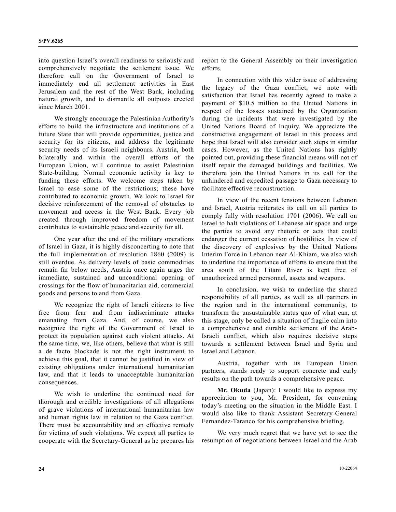into question Israel's overall readiness to seriously and comprehensively negotiate the settlement issue. We therefore call on the Government of Israel to immediately end all settlement activities in East Jerusalem and the rest of the West Bank, including natural growth, and to dismantle all outposts erected since March 2001.

 We strongly encourage the Palestinian Authority's efforts to build the infrastructure and institutions of a future State that will provide opportunities, justice and security for its citizens, and address the legitimate security needs of its Israeli neighbours. Austria, both bilaterally and within the overall efforts of the European Union, will continue to assist Palestinian State-building. Normal economic activity is key to funding these efforts. We welcome steps taken by Israel to ease some of the restrictions; these have contributed to economic growth. We look to Israel for decisive reinforcement of the removal of obstacles to movement and access in the West Bank. Every job created through improved freedom of movement contributes to sustainable peace and security for all.

 One year after the end of the military operations of Israel in Gaza, it is highly disconcerting to note that the full implementation of resolution 1860 (2009) is still overdue. As delivery levels of basic commodities remain far below needs, Austria once again urges the immediate, sustained and unconditional opening of crossings for the flow of humanitarian aid, commercial goods and persons to and from Gaza.

 We recognize the right of Israeli citizens to live free from fear and from indiscriminate attacks emanating from Gaza. And, of course, we also recognize the right of the Government of Israel to protect its population against such violent attacks. At the same time, we, like others, believe that what is still a de facto blockade is not the right instrument to achieve this goal, that it cannot be justified in view of existing obligations under international humanitarian law, and that it leads to unacceptable humanitarian consequences.

 We wish to underline the continued need for thorough and credible investigations of all allegations of grave violations of international humanitarian law and human rights law in relation to the Gaza conflict. There must be accountability and an effective remedy for victims of such violations. We expect all parties to cooperate with the Secretary-General as he prepares his

report to the General Assembly on their investigation efforts.

 In connection with this wider issue of addressing the legacy of the Gaza conflict, we note with satisfaction that Israel has recently agreed to make a payment of \$10.5 million to the United Nations in respect of the losses sustained by the Organization during the incidents that were investigated by the United Nations Board of Inquiry. We appreciate the constructive engagement of Israel in this process and hope that Israel will also consider such steps in similar cases. However, as the United Nations has rightly pointed out, providing these financial means will not of itself repair the damaged buildings and facilities. We therefore join the United Nations in its call for the unhindered and expedited passage to Gaza necessary to facilitate effective reconstruction.

 In view of the recent tensions between Lebanon and Israel, Austria reiterates its call on all parties to comply fully with resolution 1701 (2006). We call on Israel to halt violations of Lebanese air space and urge the parties to avoid any rhetoric or acts that could endanger the current cessation of hostilities. In view of the discovery of explosives by the United Nations Interim Force in Lebanon near Al-Khiam, we also wish to underline the importance of efforts to ensure that the area south of the Litani River is kept free of unauthorized armed personnel, assets and weapons.

 In conclusion, we wish to underline the shared responsibility of all parties, as well as all partners in the region and in the international community, to transform the unsustainable status quo of what can, at this stage, only be called a situation of fragile calm into a comprehensive and durable settlement of the Arab-Israeli conflict, which also requires decisive steps towards a settlement between Israel and Syria and Israel and Lebanon.

 Austria, together with its European Union partners, stands ready to support concrete and early results on the path towards a comprehensive peace.

**Mr. Okuda** (Japan): I would like to express my appreciation to you, Mr. President, for convening today's meeting on the situation in the Middle East. I would also like to thank Assistant Secretary-General Fernandez-Taranco for his comprehensive briefing.

 We very much regret that we have yet to see the resumption of negotiations between Israel and the Arab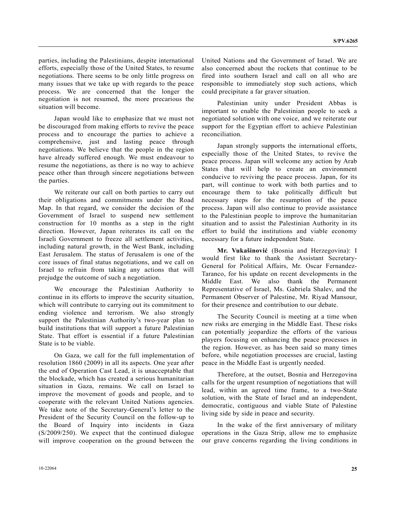parties, including the Palestinians, despite international efforts, especially those of the United States, to resume negotiations. There seems to be only little progress on many issues that we take up with regards to the peace process. We are concerned that the longer the negotiation is not resumed, the more precarious the situation will become.

 Japan would like to emphasize that we must not be discouraged from making efforts to revive the peace process and to encourage the parties to achieve a comprehensive, just and lasting peace through negotiations. We believe that the people in the region have already suffered enough. We must endeavour to resume the negotiations, as there is no way to achieve peace other than through sincere negotiations between the parties.

 We reiterate our call on both parties to carry out their obligations and commitments under the Road Map. In that regard, we consider the decision of the Government of Israel to suspend new settlement construction for 10 months as a step in the right direction. However, Japan reiterates its call on the Israeli Government to freeze all settlement activities, including natural growth, in the West Bank, including East Jerusalem. The status of Jerusalem is one of the core issues of final status negotiations, and we call on Israel to refrain from taking any actions that will prejudge the outcome of such a negotiation.

 We encourage the Palestinian Authority to continue in its efforts to improve the security situation, which will contribute to carrying out its commitment to ending violence and terrorism. We also strongly support the Palestinian Authority's two-year plan to build institutions that will support a future Palestinian State. That effort is essential if a future Palestinian State is to be viable.

 On Gaza, we call for the full implementation of resolution 1860 (2009) in all its aspects. One year after the end of Operation Cast Lead, it is unacceptable that the blockade, which has created a serious humanitarian situation in Gaza, remains. We call on Israel to improve the movement of goods and people, and to cooperate with the relevant United Nations agencies. We take note of the Secretary-General's letter to the President of the Security Council on the follow-up to the Board of Inquiry into incidents in Gaza (S/2009/250). We expect that the continued dialogue will improve cooperation on the ground between the

United Nations and the Government of Israel. We are also concerned about the rockets that continue to be fired into southern Israel and call on all who are responsible to immediately stop such actions, which could precipitate a far graver situation.

 Palestinian unity under President Abbas is important to enable the Palestinian people to seek a negotiated solution with one voice, and we reiterate our support for the Egyptian effort to achieve Palestinian reconciliation.

 Japan strongly supports the international efforts, especially those of the United States, to revive the peace process. Japan will welcome any action by Arab States that will help to create an environment conducive to reviving the peace process. Japan, for its part, will continue to work with both parties and to encourage them to take politically difficult but necessary steps for the resumption of the peace process. Japan will also continue to provide assistance to the Palestinian people to improve the humanitarian situation and to assist the Palestinian Authority in its effort to build the institutions and viable economy necessary for a future independent State.

**Mr. Vukašinović** (Bosnia and Herzegovina): I would first like to thank the Assistant Secretary-General for Political Affairs, Mr. Oscar Fernandez-Taranco, for his update on recent developments in the Middle East. We also thank the Permanent Representative of Israel, Ms. Gabriela Shalev, and the Permanent Observer of Palestine, Mr. Riyad Mansour, for their presence and contribution to our debate.

 The Security Council is meeting at a time when new risks are emerging in the Middle East. These risks can potentially jeopardize the efforts of the various players focusing on enhancing the peace processes in the region. However, as has been said so many times before, while negotiation processes are crucial, lasting peace in the Middle East is urgently needed.

 Therefore, at the outset, Bosnia and Herzegovina calls for the urgent resumption of negotiations that will lead, within an agreed time frame, to a two-State solution, with the State of Israel and an independent, democratic, contiguous and viable State of Palestine living side by side in peace and security.

 In the wake of the first anniversary of military operations in the Gaza Strip, allow me to emphasize our grave concerns regarding the living conditions in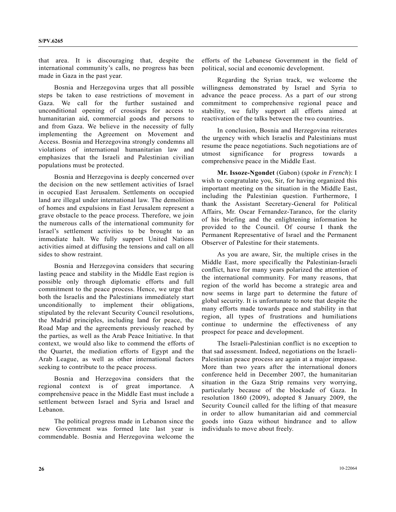that area. It is discouraging that, despite the international community's calls, no progress has been made in Gaza in the past year.

 Bosnia and Herzegovina urges that all possible steps be taken to ease restrictions of movement in Gaza. We call for the further sustained and unconditional opening of crossings for access to humanitarian aid, commercial goods and persons to and from Gaza. We believe in the necessity of fully implementing the Agreement on Movement and Access. Bosnia and Herzegovina strongly condemns all violations of international humanitarian law and emphasizes that the Israeli and Palestinian civilian populations must be protected.

 Bosnia and Herzegovina is deeply concerned over the decision on the new settlement activities of Israel in occupied East Jerusalem. Settlements on occupied land are illegal under international law. The demolition of homes and expulsions in East Jerusalem represent a grave obstacle to the peace process. Therefore, we join the numerous calls of the international community for Israel's settlement activities to be brought to an immediate halt. We fully support United Nations activities aimed at diffusing the tensions and call on all sides to show restraint.

 Bosnia and Herzegovina considers that securing lasting peace and stability in the Middle East region is possible only through diplomatic efforts and full commitment to the peace process. Hence, we urge that both the Israelis and the Palestinians immediately start unconditionally to implement their obligations, stipulated by the relevant Security Council resolutions, the Madrid principles, including land for peace, the Road Map and the agreements previously reached by the parties, as well as the Arab Peace Initiative. In that context, we would also like to commend the efforts of the Quartet, the mediation efforts of Egypt and the Arab League, as well as other international factors seeking to contribute to the peace process.

 Bosnia and Herzegovina considers that the regional context is of great importance. A comprehensive peace in the Middle East must include a settlement between Israel and Syria and Israel and Lebanon.

 The political progress made in Lebanon since the new Government was formed late last year is commendable. Bosnia and Herzegovina welcome the efforts of the Lebanese Government in the field of political, social and economic development.

 Regarding the Syrian track, we welcome the willingness demonstrated by Israel and Syria to advance the peace process. As a part of our strong commitment to comprehensive regional peace and stability, we fully support all efforts aimed at reactivation of the talks between the two countries.

 In conclusion, Bosnia and Herzegovina reiterates the urgency with which Israelis and Palestinians must resume the peace negotiations. Such negotiations are of utmost significance for progress towards comprehensive peace in the Middle East.

**Mr. Issoze-Ngondet** (Gabon) (*spoke in French*): I wish to congratulate you, Sir, for having organized this important meeting on the situation in the Middle East, including the Palestinian question. Furthermore, I thank the Assistant Secretary-General for Political Affairs, Mr. Oscar Fernandez-Taranco, for the clarity of his briefing and the enlightening information he provided to the Council. Of course I thank the Permanent Representative of Israel and the Permanent Observer of Palestine for their statements.

 As you are aware, Sir, the multiple crises in the Middle East, more specifically the Palestinian-Israeli conflict, have for many years polarized the attention of the international community. For many reasons, that region of the world has become a strategic area and now seems in large part to determine the future of global security. It is unfortunate to note that despite the many efforts made towards peace and stability in that region, all types of frustrations and humiliations continue to undermine the effectiveness of any prospect for peace and development.

 The Israeli-Palestinian conflict is no exception to that sad assessment. Indeed, negotiations on the Israeli-Palestinian peace process are again at a major impasse. More than two years after the international donors conference held in December 2007, the humanitarian situation in the Gaza Strip remains very worrying, particularly because of the blockade of Gaza. In resolution 1860 (2009), adopted 8 January 2009, the Security Council called for the lifting of that measure in order to allow humanitarian aid and commercial goods into Gaza without hindrance and to allow individuals to move about freely.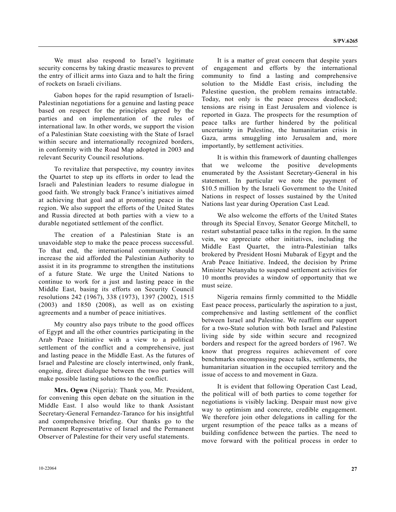We must also respond to Israel's legitimate security concerns by taking drastic measures to prevent the entry of illicit arms into Gaza and to halt the firing of rockets on Israeli civilians.

 Gabon hopes for the rapid resumption of Israeli-Palestinian negotiations for a genuine and lasting peace based on respect for the principles agreed by the parties and on implementation of the rules of international law. In other words, we support the vision of a Palestinian State coexisting with the State of Israel within secure and internationally recognized borders, in conformity with the Road Map adopted in 2003 and relevant Security Council resolutions.

 To revitalize that perspective, my country invites the Quartet to step up its efforts in order to lead the Israeli and Palestinian leaders to resume dialogue in good faith. We strongly back France's initiatives aimed at achieving that goal and at promoting peace in the region. We also support the efforts of the United States and Russia directed at both parties with a view to a durable negotiated settlement of the conflict.

 The creation of a Palestinian State is an unavoidable step to make the peace process successful. To that end, the international community should increase the aid afforded the Palestinian Authority to assist it in its programme to strengthen the institutions of a future State. We urge the United Nations to continue to work for a just and lasting peace in the Middle East, basing its efforts on Security Council resolutions 242 (1967), 338 (1973), 1397 (2002), 1515 (2003) and 1850 (2008), as well as on existing agreements and a number of peace initiatives.

 My country also pays tribute to the good offices of Egypt and all the other countries participating in the Arab Peace Initiative with a view to a political settlement of the conflict and a comprehensive, just and lasting peace in the Middle East. As the futures of Israel and Palestine are closely intertwined, only frank, ongoing, direct dialogue between the two parties will make possible lasting solutions to the conflict.

**Mrs. Ogwu** (Nigeria): Thank you, Mr. President, for convening this open debate on the situation in the Middle East. I also would like to thank Assistant Secretary-General Fernandez-Taranco for his insightful and comprehensive briefing. Our thanks go to the Permanent Representative of Israel and the Permanent Observer of Palestine for their very useful statements.

 It is a matter of great concern that despite years of engagement and efforts by the international community to find a lasting and comprehensive solution to the Middle East crisis, including the Palestine question, the problem remains intractable. Today, not only is the peace process deadlocked; tensions are rising in East Jerusalem and violence is reported in Gaza. The prospects for the resumption of peace talks are further hindered by the political uncertainty in Palestine, the humanitarian crisis in Gaza, arms smuggling into Jerusalem and, more importantly, by settlement activities.

 It is within this framework of daunting challenges that we welcome the positive developments enumerated by the Assistant Secretary-General in his statement. In particular we note the payment of \$10.5 million by the Israeli Government to the United Nations in respect of losses sustained by the United Nations last year during Operation Cast Lead.

 We also welcome the efforts of the United States through its Special Envoy, Senator George Mitchell, to restart substantial peace talks in the region. In the same vein, we appreciate other initiatives, including the Middle East Quartet, the intra-Palestinian talks brokered by President Hosni Mubarak of Egypt and the Arab Peace Initiative. Indeed, the decision by Prime Minister Netanyahu to suspend settlement activities for 10 months provides a window of opportunity that we must seize.

 Nigeria remains firmly committed to the Middle East peace process, particularly the aspiration to a just, comprehensive and lasting settlement of the conflict between Israel and Palestine. We reaffirm our support for a two-State solution with both Israel and Palestine living side by side within secure and recognized borders and respect for the agreed borders of 1967. We know that progress requires achievement of core benchmarks encompassing peace talks, settlements, the humanitarian situation in the occupied territory and the issue of access to and movement in Gaza.

 It is evident that following Operation Cast Lead, the political will of both parties to come together for negotiations is visibly lacking. Despair must now give way to optimism and concrete, credible engagement. We therefore join other delegations in calling for the urgent resumption of the peace talks as a means of building confidence between the parties. The need to move forward with the political process in order to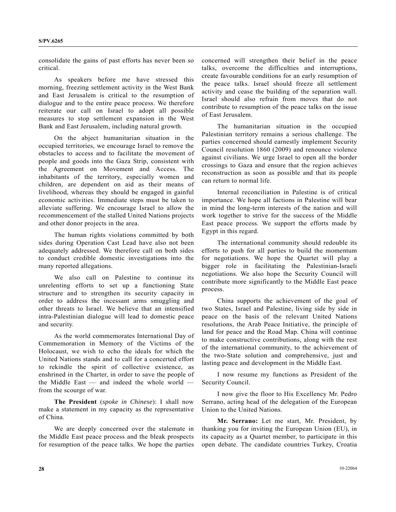consolidate the gains of past efforts has never been so critical.

 As speakers before me have stressed this morning, freezing settlement activity in the West Bank and East Jerusalem is critical to the resumption of dialogue and to the entire peace process. We therefore reiterate our call on Israel to adopt all possible measures to stop settlement expansion in the West Bank and East Jerusalem, including natural growth.

 On the abject humanitarian situation in the occupied territories, we encourage Israel to remove the obstacles to access and to facilitate the movement of people and goods into the Gaza Strip, consistent with the Agreement on Movement and Access. The inhabitants of the territory, especially women and children, are dependent on aid as their means of livelihood, whereas they should be engaged in gainful economic activities. Immediate steps must be taken to alleviate suffering. We encourage Israel to allow the recommencement of the stalled United Nations projects and other donor projects in the area.

 The human rights violations committed by both sides during Operation Cast Lead have also not been adequately addressed. We therefore call on both sides to conduct credible domestic investigations into the many reported allegations.

 We also call on Palestine to continue its unrelenting efforts to set up a functioning State structure and to strengthen its security capacity in order to address the incessant arms smuggling and other threats to Israel. We believe that an intensified intra-Palestinian dialogue will lead to domestic peace and security.

 As the world commemorates International Day of Commemoration in Memory of the Victims of the Holocaust, we wish to echo the ideals for which the United Nations stands and to call for a concerted effort to rekindle the spirit of collective existence, as enshrined in the Charter, in order to save the people of the Middle East — and indeed the whole world from the scourge of war.

 **The President** (*spoke in Chinese*): I shall now make a statement in my capacity as the representative of China.

 We are deeply concerned over the stalemate in the Middle East peace process and the bleak prospects for resumption of the peace talks. We hope the parties concerned will strengthen their belief in the peace talks, overcome the difficulties and interruptions, create favourable conditions for an early resumption of the peace talks. Israel should freeze all settlement activity and cease the building of the separation wall. Israel should also refrain from moves that do not contribute to resumption of the peace talks on the issue of East Jerusalem.

 The humanitarian situation in the occupied Palestinian territory remains a serious challenge. The parties concerned should earnestly implement Security Council resolution 1860 (2009) and renounce violence against civilians. We urge Israel to open all the border crossings to Gaza and ensure that the region achieves reconstruction as soon as possible and that its people can return to normal life.

 Internal reconciliation in Palestine is of critical importance. We hope all factions in Palestine will bear in mind the long-term interests of the nation and will work together to strive for the success of the Middle East peace process. We support the efforts made by Egypt in this regard.

 The international community should redouble its efforts to push for all parties to build the momentum for negotiations. We hope the Quartet will play a bigger role in facilitating the Palestinian-Israeli negotiations. We also hope the Security Council will contribute more significantly to the Middle East peace process.

 China supports the achievement of the goal of two States, Israel and Palestine, living side by side in peace on the basis of the relevant United Nations resolutions, the Arab Peace Initiative, the principle of land for peace and the Road Map. China will continue to make constructive contributions, along with the rest of the international community, to the achievement of the two-State solution and comprehensive, just and lasting peace and development in the Middle East.

 I now resume my functions as President of the Security Council.

 I now give the floor to His Excellency Mr. Pedro Serrano, acting head of the delegation of the European Union to the United Nations.

**Mr. Serrano:** Let me start, Mr. President, by thanking you for inviting the European Union (EU), in its capacity as a Quartet member, to participate in this open debate. The candidate countries Turkey, Croatia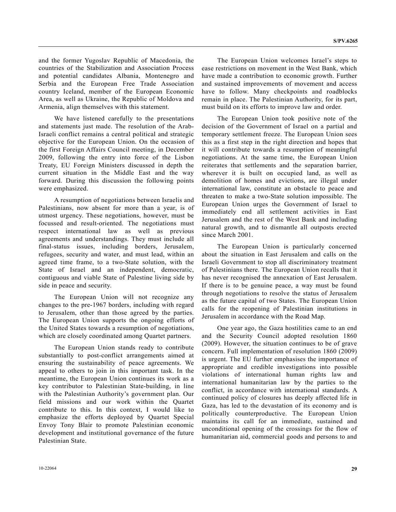and the former Yugoslav Republic of Macedonia, the countries of the Stabilization and Association Process and potential candidates Albania, Montenegro and Serbia and the European Free Trade Association country Iceland, member of the European Economic Area, as well as Ukraine, the Republic of Moldova and Armenia, align themselves with this statement.

 We have listened carefully to the presentations and statements just made. The resolution of the Arab-Israeli conflict remains a central political and strategic objective for the European Union. On the occasion of the first Foreign Affairs Council meeting, in December 2009, following the entry into force of the Lisbon Treaty, EU Foreign Ministers discussed in depth the current situation in the Middle East and the way forward. During this discussion the following points were emphasized.

 A resumption of negotiations between Israelis and Palestinians, now absent for more than a year, is of utmost urgency. These negotiations, however, must be focussed and result-oriented. The negotiations must respect international law as well as previous agreements and understandings. They must include all final-status issues, including borders, Jerusalem, refugees, security and water, and must lead, within an agreed time frame, to a two-State solution, with the State of Israel and an independent, democratic, contiguous and viable State of Palestine living side by side in peace and security.

 The European Union will not recognize any changes to the pre-1967 borders, including with regard to Jerusalem, other than those agreed by the parties. The European Union supports the ongoing efforts of the United States towards a resumption of negotiations, which are closely coordinated among Quartet partners.

 The European Union stands ready to contribute substantially to post-conflict arrangements aimed at ensuring the sustainability of peace agreements. We appeal to others to join in this important task. In the meantime, the European Union continues its work as a key contributor to Palestinian State-building, in line with the Palestinian Authority's government plan. Our field missions and our work within the Quartet contribute to this. In this context, I would like to emphasize the efforts deployed by Quartet Special Envoy Tony Blair to promote Palestinian economic development and institutional governance of the future Palestinian State.

 The European Union welcomes Israel's steps to ease restrictions on movement in the West Bank, which have made a contribution to economic growth. Further and sustained improvements of movement and access have to follow. Many checkpoints and roadblocks remain in place. The Palestinian Authority, for its part, must build on its efforts to improve law and order.

 The European Union took positive note of the decision of the Government of Israel on a partial and temporary settlement freeze. The European Union sees this as a first step in the right direction and hopes that it will contribute towards a resumption of meaningful negotiations. At the same time, the European Union reiterates that settlements and the separation barrier, wherever it is built on occupied land, as well as demolition of homes and evictions, are illegal under international law, constitute an obstacle to peace and threaten to make a two-State solution impossible. The European Union urges the Government of Israel to immediately end all settlement activities in East Jerusalem and the rest of the West Bank and including natural growth, and to dismantle all outposts erected since March 2001.

 The European Union is particularly concerned about the situation in East Jerusalem and calls on the Israeli Government to stop all discriminatory treatment of Palestinians there. The European Union recalls that it has never recognised the annexation of East Jerusalem. If there is to be genuine peace, a way must be found through negotiations to resolve the status of Jerusalem as the future capital of two States. The European Union calls for the reopening of Palestinian institutions in Jerusalem in accordance with the Road Map.

 One year ago, the Gaza hostilities came to an end and the Security Council adopted resolution 1860 (2009). However, the situation continues to be of grave concern. Full implementation of resolution 1860 (2009) is urgent. The EU further emphasises the importance of appropriate and credible investigations into possible violations of international human rights law and international humanitarian law by the parties to the conflict, in accordance with international standards. A continued policy of closures has deeply affected life in Gaza, has led to the devastation of its economy and is politically counterproductive. The European Union maintains its call for an immediate, sustained and unconditional opening of the crossings for the flow of humanitarian aid, commercial goods and persons to and